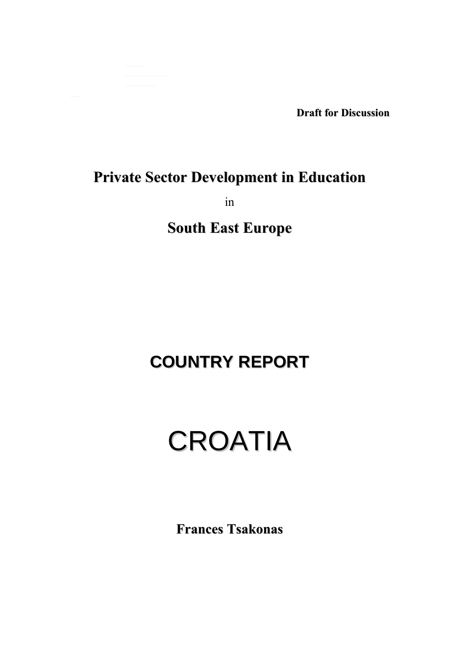**Draft for Discussion**

## **Private Sector Development in Education**

in

**South East Europe**

# **COUNTRY REPORT**

# CROATIA

**Frances Tsakonas**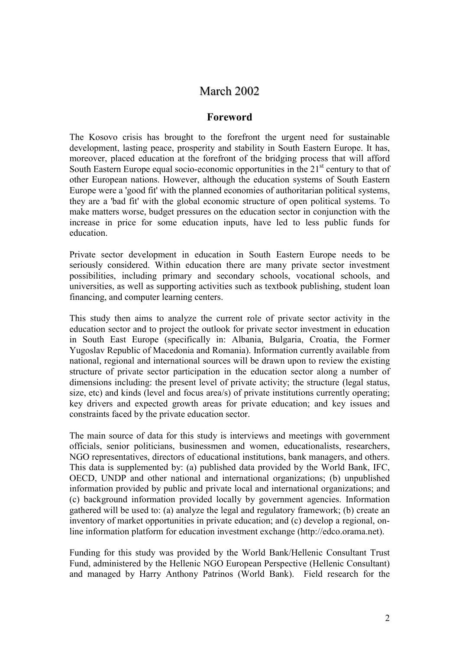## March 2002

## **Foreword**

The Kosovo crisis has brought to the forefront the urgent need for sustainable development, lasting peace, prosperity and stability in South Eastern Europe. It has, moreover, placed education at the forefront of the bridging process that will afford South Eastern Europe equal socio-economic opportunities in the  $21<sup>st</sup>$  century to that of other European nations. However, although the education systems of South Eastern Europe were a 'good fit' with the planned economies of authoritarian political systems, they are a 'bad fit' with the global economic structure of open political systems. To make matters worse, budget pressures on the education sector in conjunction with the increase in price for some education inputs, have led to less public funds for education.

Private sector development in education in South Eastern Europe needs to be seriously considered. Within education there are many private sector investment possibilities, including primary and secondary schools, vocational schools, and universities, as well as supporting activities such as textbook publishing, student loan financing, and computer learning centers.

This study then aims to analyze the current role of private sector activity in the education sector and to project the outlook for private sector investment in education in South East Europe (specifically in: Albania, Bulgaria, Croatia, the Former Yugoslav Republic of Macedonia and Romania). Information currently available from national, regional and international sources will be drawn upon to review the existing structure of private sector participation in the education sector along a number of dimensions including: the present level of private activity; the structure (legal status, size, etc) and kinds (level and focus area/s) of private institutions currently operating; key drivers and expected growth areas for private education; and key issues and constraints faced by the private education sector.

The main source of data for this study is interviews and meetings with government officials, senior politicians, businessmen and women, educationalists, researchers, NGO representatives, directors of educational institutions, bank managers, and others. This data is supplemented by: (a) published data provided by the World Bank, IFC, OECD, UNDP and other national and international organizations; (b) unpublished information provided by public and private local and international organizations; and (c) background information provided locally by government agencies. Information gathered will be used to: (a) analyze the legal and regulatory framework; (b) create an inventory of market opportunities in private education; and (c) develop a regional, online information platform for education investment exchange (http://edco.orama.net).

Funding for this study was provided by the World Bank/Hellenic Consultant Trust Fund, administered by the Hellenic NGO European Perspective (Hellenic Consultant) and managed by Harry Anthony Patrinos (World Bank). Field research for the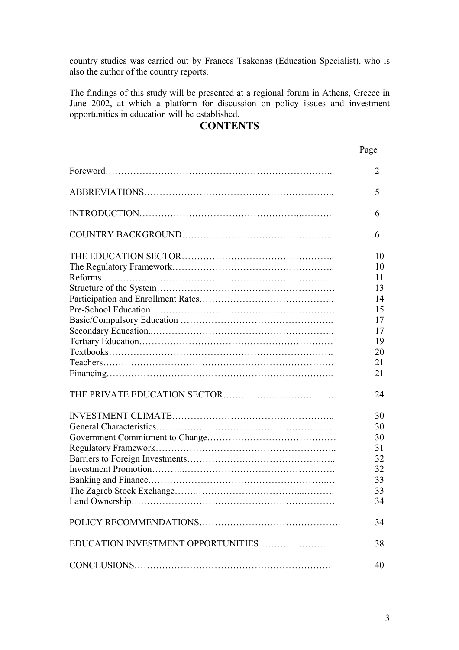country studies was carried out by Frances Tsakonas (Education Specialist), who is also the author of the country reports.

The findings of this study will be presented at a regional forum in Athens, Greece in June 2002, at which a platform for discussion on policy issues and investment opportunities in education will be established.

## **CONTENTS**

## Page

|                                    | $\overline{2}$ |
|------------------------------------|----------------|
|                                    | 5              |
|                                    | 6              |
|                                    | 6              |
|                                    | 10             |
|                                    | 10             |
|                                    | 11             |
|                                    | 13             |
|                                    | 14             |
|                                    | 15             |
|                                    | 17             |
|                                    | 17             |
|                                    | 19             |
|                                    | 20             |
|                                    | 21             |
|                                    | 21             |
|                                    | 24             |
|                                    | 30             |
|                                    | 30             |
|                                    | 30             |
|                                    | 31             |
|                                    | 32             |
|                                    | 32             |
|                                    | 33             |
|                                    | 33             |
|                                    | 34             |
|                                    | 34             |
| EDUCATION INVESTMENT OPPORTUNITIES | 38             |
|                                    | 40             |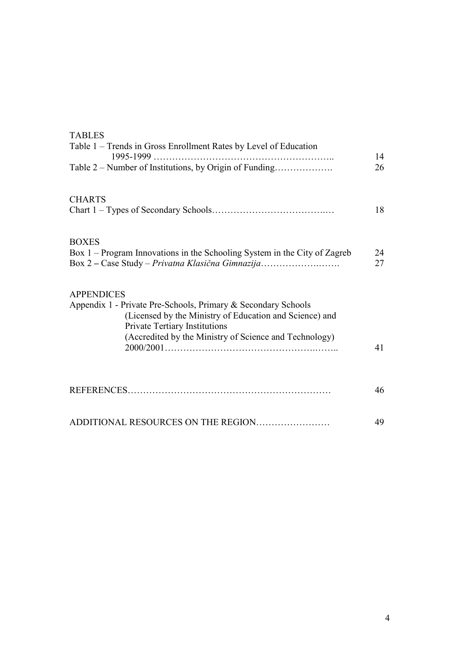| <b>TABLES</b><br>Table 1 – Trends in Gross Enrollment Rates by Level of Education                                                                                                                                                               |          |
|-------------------------------------------------------------------------------------------------------------------------------------------------------------------------------------------------------------------------------------------------|----------|
| $1995 - 1999$<br>Table 2 – Number of Institutions, by Origin of Funding                                                                                                                                                                         | 14<br>26 |
| <b>CHARTS</b>                                                                                                                                                                                                                                   | 18       |
| <b>BOXES</b><br>Box 1 – Program Innovations in the Schooling System in the City of Zagreb<br>Box 2 – Case Study – Privatna Klasična Gimnazija                                                                                                   | 24<br>27 |
| <b>APPENDICES</b><br>Appendix 1 - Private Pre-Schools, Primary & Secondary Schools<br>(Licensed by the Ministry of Education and Science) and<br><b>Private Tertiary Institutions</b><br>(Accredited by the Ministry of Science and Technology) |          |
|                                                                                                                                                                                                                                                 | 41       |
|                                                                                                                                                                                                                                                 | 46       |
| ADDITIONAL RESOURCES ON THE REGION                                                                                                                                                                                                              | 49       |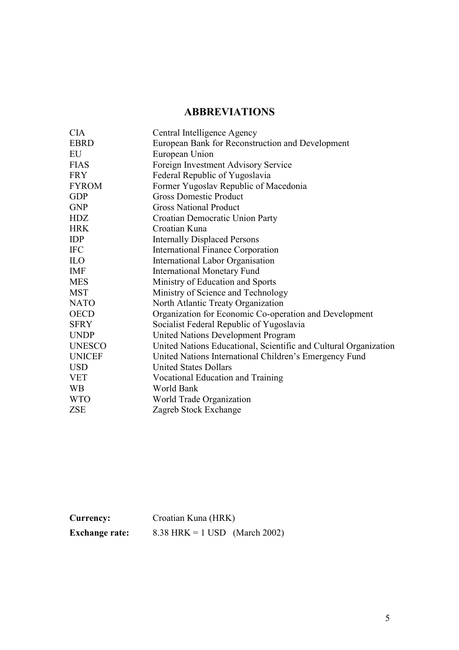## **ABBREVIATIONS**

| <b>CIA</b>    | Central Intelligence Agency                                      |
|---------------|------------------------------------------------------------------|
| <b>EBRD</b>   | European Bank for Reconstruction and Development                 |
| EU            | European Union                                                   |
| <b>FIAS</b>   | Foreign Investment Advisory Service                              |
| <b>FRY</b>    | Federal Republic of Yugoslavia                                   |
| <b>FYROM</b>  | Former Yugoslav Republic of Macedonia                            |
| <b>GDP</b>    | <b>Gross Domestic Product</b>                                    |
| <b>GNP</b>    | <b>Gross National Product</b>                                    |
| <b>HDZ</b>    | Croatian Democratic Union Party                                  |
| <b>HRK</b>    | Croatian Kuna                                                    |
| <b>IDP</b>    | <b>Internally Displaced Persons</b>                              |
| <b>IFC</b>    | <b>International Finance Corporation</b>                         |
| <b>ILO</b>    | International Labor Organisation                                 |
| <b>IMF</b>    | <b>International Monetary Fund</b>                               |
| <b>MES</b>    | Ministry of Education and Sports                                 |
| <b>MST</b>    | Ministry of Science and Technology                               |
| <b>NATO</b>   | North Atlantic Treaty Organization                               |
| <b>OECD</b>   | Organization for Economic Co-operation and Development           |
| <b>SFRY</b>   | Socialist Federal Republic of Yugoslavia                         |
| <b>UNDP</b>   | <b>United Nations Development Program</b>                        |
| <b>UNESCO</b> | United Nations Educational, Scientific and Cultural Organization |
| <b>UNICEF</b> | United Nations International Children's Emergency Fund           |
| <b>USD</b>    | <b>United States Dollars</b>                                     |
| <b>VET</b>    | Vocational Education and Training                                |
| <b>WB</b>     | World Bank                                                       |
| <b>WTO</b>    | World Trade Organization                                         |
| <b>ZSE</b>    | Zagreb Stock Exchange                                            |
|               |                                                                  |

| Currency:             | Croatian Kuna (HRK)           |  |  |  |  |  |
|-----------------------|-------------------------------|--|--|--|--|--|
| <b>Exchange rate:</b> | 8.38 HRK = 1 USD (March 2002) |  |  |  |  |  |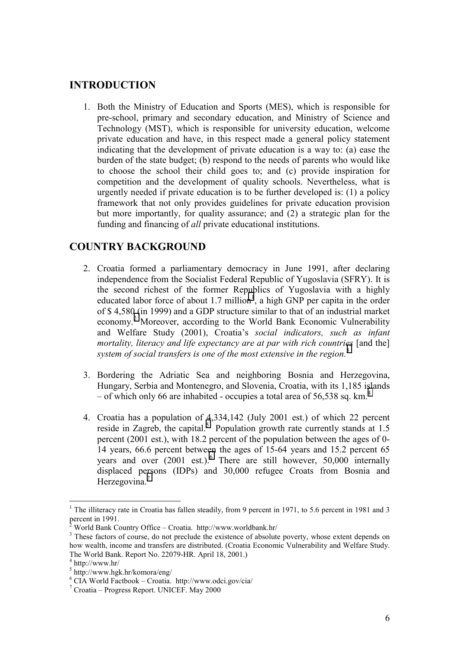## <span id="page-5-0"></span>**INTRODUCTION**

1. Both the Ministry of Education and Sports (MES), which is responsible for pre-school, primary and secondary education, and Ministry of Science and Technology (MST), which is responsible for university education, welcome private education and have, in this respect made a general policy statement indicating that the development of private education is a way to: (a) ease the burden of the state budget; (b) respond to the needs of parents who would like to choose the school their child goes to; and (c) provide inspiration for competition and the development of quality schools. Nevertheless, what is urgently needed if private education is to be further developed is: (1) a policy framework that not only provides guidelines for private education provision but more importantly, for quality assurance; and (2) a strategic plan for the funding and financing of *all* private educational institutions.

## **COUNTRY BACKGROUND**

- 2. Croatia formed a parliamentary democracy in June 1991, after declaring independence from the Socialist Federal Republic of Yugoslavia (SFRY). It is the second richest of the former Republics of Yugoslavia with a highly educated labor force of about 1.7 million<sup>1</sup>, a high GNP per capita in the order of \$ 4,580 (in 1999) and a GDP structure similar to that of an industrial market economy.<sup>2</sup> Moreover, according to the World Bank Economic Vulnerability and Welfare Study (2001), Croatiaís *social indicators, such as infant mortality, literacy and life expectancy are at par with rich countries* [and the] *system of social transfers is one of the most extensive in the region.*<sup>3</sup>
- 3. Bordering the Adriatic Sea and neighboring Bosnia and Herzegovina, Hungary, Serbia and Montenegro, and Slovenia, Croatia, with its 1,185 islands – of which only 66 are inhabited - occupies a total area of 56,538 sq. km.<sup>4</sup>
- 4. Croatia has a population of 4,334,142 (July 2001 est.) of which 22 percent reside in Zagreb, the capital.<sup>5</sup> Population growth rate currently stands at 1.5 percent (2001 est.), with 18.2 percent of the population between the ages of 0- 14 years, 66.6 percent between the ages of 15-64 years and 15.2 percent 65 years and over (2001 est.).<sup>6</sup> There are still however, 50,000 internally displaced persons (IDPs) and 30,000 refugee Croats from Bosnia and Herzegovina.<sup>7</sup>

<sup>&</sup>lt;sup>1</sup> The illiteracy rate in Croatia has fallen steadily, from 9 percent in 1971, to 5.6 percent in 1981 and 3 percent in 1991.<br><sup>2</sup> World Bank C

World Bank Country Office - Croatia. http://www.worldbank.hr/

<sup>&</sup>lt;sup>3</sup> These factors of course, do not preclude the existence of absolute poverty, whose extent depends on how wealth, income and transfers are distributed. (Croatia Economic Vulnerability and Welfare Study. The World Bank. Report No. 22079-HR. April 18, 2001.)

<sup>4</sup> http://www.hr/

<sup>5</sup> http://www.hgk.hr/komora/eng/

 $6$  CIA World Factbook – Croatia. http://www.odci.gov/cia/

 $7$  Croatia – Progress Report. UNICEF. May 2000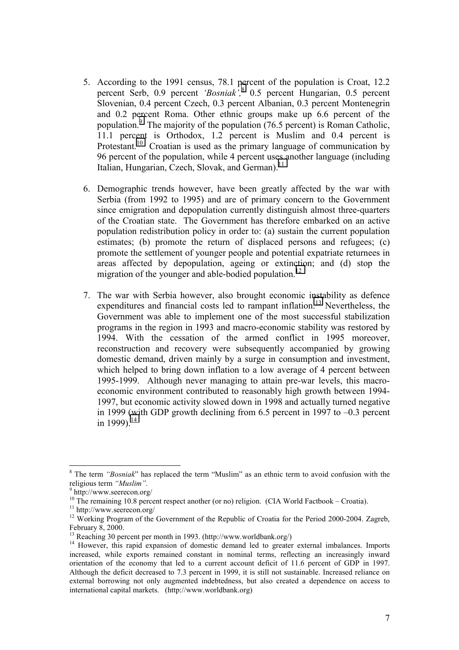- 5. According to the 1991 census, 78.1 percent of the population is Croat, 12.2 percent Serb, 0.9 percent *'Bosniak*<sup>', 8</sup> 0.5 percent Hungarian, 0.5 percent Slovenian, 0.4 percent Czech, 0.3 percent Albanian, 0.3 percent Montenegrin and 0.2 percent Roma. Other ethnic groups make up 6.6 percent of the population.<sup>9</sup> The majority of the population (76.5 percent) is Roman Catholic, 11.1 percent is Orthodox, 1.2 percent is Muslim and 0.4 percent is Protestant.<sup>10</sup> Croatian is used as the primary language of communication by 96 percent of the population, while 4 percent uses another language (including Italian, Hungarian, Czech, Slovak, and German).<sup>11</sup>
- 6. Demographic trends however, have been greatly affected by the war with Serbia (from 1992 to 1995) and are of primary concern to the Government since emigration and depopulation currently distinguish almost three-quarters of the Croatian state. The Government has therefore embarked on an active population redistribution policy in order to: (a) sustain the current population estimates; (b) promote the return of displaced persons and refugees; (c) promote the settlement of younger people and potential expatriate returnees in areas affected by depopulation, ageing or extinction; and (d) stop the migration of the younger and able-bodied population.<sup>12</sup>
- 7. The war with Serbia however, also brought economic instability as defence expenditures and financial costs led to rampant inflation.<sup>13</sup> Nevertheless, the Government was able to implement one of the most successful stabilization programs in the region in 1993 and macro-economic stability was restored by 1994. With the cessation of the armed conflict in 1995 moreover, reconstruction and recovery were subsequently accompanied by growing domestic demand, driven mainly by a surge in consumption and investment, which helped to bring down inflation to a low average of 4 percent between 1995-1999. Although never managing to attain pre-war levels, this macroeconomic environment contributed to reasonably high growth between 1994- 1997, but economic activity slowed down in 1998 and actually turned negative in 1999 (with GDP growth declining from  $6.5$  percent in 1997 to  $-0.3$  percent in 1999).<sup>14</sup>

 $8$  The term *'Bosniak*'' has replaced the term ''Muslim'' as an ethnic term to avoid confusion with the religious term "*Muslim*".

 $9$  http://www.seerecon.org/

 $10$  The remaining 10.8 percent respect another (or no) religion. (CIA World Factbook – Croatia).

<sup>&</sup>lt;sup>11</sup> http://www.seerecon.org/

<sup>&</sup>lt;sup>12</sup> Working Program of the Government of the Republic of Croatia for the Period 2000-2004. Zagreb, February 8, 2000.

<sup>13</sup> Reaching 30 percent per month in 1993. (http://www.worldbank.org/)

<sup>&</sup>lt;sup>14</sup> However, this rapid expansion of domestic demand led to greater external imbalances. Imports increased, while exports remained constant in nominal terms, reflecting an increasingly inward orientation of the economy that led to a current account deficit of 11.6 percent of GDP in 1997. Although the deficit decreased to 7.3 percent in 1999, it is still not sustainable. Increased reliance on external borrowing not only augmented indebtedness, but also created a dependence on access to international capital markets. (http://www.worldbank.org)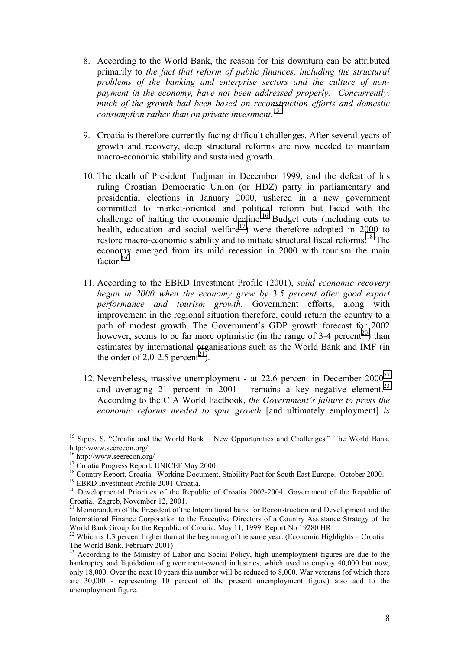- 8. According to the World Bank, the reason for this downturn can be attributed primarily to *the fact that reform of public finances, including the structural problems of the banking and enterprise sectors and the culture of nonpayment in the economy, have not been addressed properly. Concurrently, much of the growth had been based on reconstruction efforts and domestic consumption rather than on private investment.*<sup>15</sup>
- 9. Croatia is therefore currently facing difficult challenges. After several years of growth and recovery, deep structural reforms are now needed to maintain macro-economic stability and sustained growth.
- 10. The death of President Tudjman in December 1999, and the defeat of his ruling Croatian Democratic Union (or HDZ) party in parliamentary and presidential elections in January 2000, ushered in a new government committed to market-oriented and political reform but faced with the challenge of halting the economic decline.<sup>16</sup> Budget cuts (including cuts to health, education and social welfare<sup>17</sup>) were therefore adopted in 2000 to restore macro-economic stability and to initiate structural fiscal reforms.<sup>18</sup> The economy emerged from its mild recession in 2000 with tourism the main factor.<sup>19</sup>
- 11. According to the EBRD Investment Profile (2001), *solid economic recovery began in 2000 when the economy grew by* 3*.5 percent after good export performance and tourism growth*. Government efforts, along with improvement in the regional situation therefore, could return the country to a path of modest growth. The Government's GDP growth forecast for 2002 however, seems to be far more optimistic (in the range of 3-4 percent<sup>20</sup>) than estimates by international organisations such as the World Bank and IMF (in the order of 2.0-2.5 percent<sup>21</sup>).
- 12. Nevertheless, massive unemployment at 22.6 percent in December  $2000^{22}$ and averaging 21 percent in  $2001$  - remains a key negative element.<sup>23</sup> According to the CIA World Factbook, *the Government's failure to press the economic reforms needed to spur growth* [and ultimately employment] *is*

Sipos, S. "Croatia and the World Bank – New Opportunities and Challenges." The World Bank. http://www.seerecon.org/

<sup>16</sup> http://www.seerecon.org/

<sup>&</sup>lt;sup>17</sup> Croatia Progress Report. UNICEF May 2000

<sup>&</sup>lt;sup>18</sup> Country Report, Croatia. Working Document. Stability Pact for South East Europe. October 2000.

<sup>19</sup> EBRD Investment Profile 2001-Croatia.

 $20$  Developmental Priorities of the Republic of Croatia 2002-2004. Government of the Republic of Croatia. Zagreb, November 12, 2001.

<sup>&</sup>lt;sup>21</sup> Memorandum of the President of the International bank for Reconstruction and Development and the International Finance Corporation to the Executive Directors of a Country Assistance Strategy of the World Bank Group for the Republic of Croatia, May 11, 1999. Report No 19280 HR

<sup>&</sup>lt;sup>22</sup> Which is 1.3 percent higher than at the beginning of the same year. (Economic Highlights – Croatia. The World Bank. February 2001)

<sup>&</sup>lt;sup>23</sup> According to the Ministry of Labor and Social Policy, high unemployment figures are due to the bankruptcy and liquidation of government-owned industries, which used to employ 40,000 but now, only 18,000. Over the next 10 years this number will be reduced to 8,000. War veterans (of which there are 30,000 - representing 10 percent of the present unemployment figure) also add to the unemployment figure.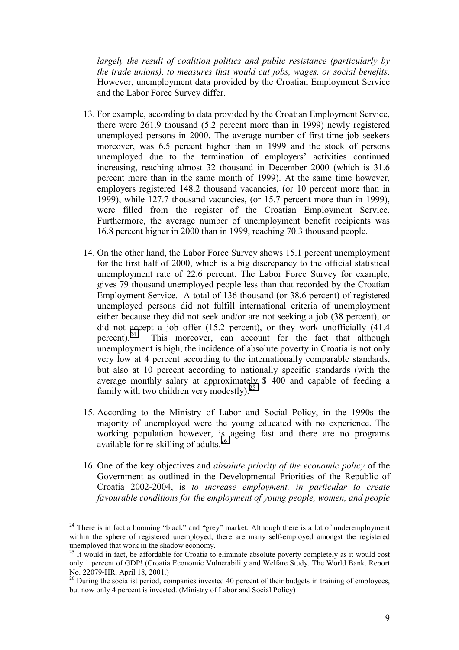*largely the result of coalition politics and public resistance (particularly by the trade unions), to measures that would cut jobs, wages, or social benefits*. However, unemployment data provided by the Croatian Employment Service and the Labor Force Survey differ.

- 13. For example, according to data provided by the Croatian Employment Service, there were 261.9 thousand (5.2 percent more than in 1999) newly registered unemployed persons in 2000. The average number of first-time job seekers moreover, was 6.5 percent higher than in 1999 and the stock of persons unemployed due to the termination of employers' activities continued increasing, reaching almost 32 thousand in December 2000 (which is 31.6 percent more than in the same month of 1999). At the same time however, employers registered 148.2 thousand vacancies, (or 10 percent more than in 1999), while 127.7 thousand vacancies, (or 15.7 percent more than in 1999), were filled from the register of the Croatian Employment Service. Furthermore, the average number of unemployment benefit recipients was 16.8 percent higher in 2000 than in 1999, reaching 70.3 thousand people.
- 14. On the other hand, the Labor Force Survey shows 15.1 percent unemployment for the first half of 2000, which is a big discrepancy to the official statistical unemployment rate of 22.6 percent. The Labor Force Survey for example, gives 79 thousand unemployed people less than that recorded by the Croatian Employment Service. A total of 136 thousand (or 38.6 percent) of registered unemployed persons did not fulfill international criteria of unemployment either because they did not seek and/or are not seeking a job (38 percent), or did not accept a job offer (15.2 percent), or they work unofficially (41.4 percent).<sup>24</sup> This moreover, can account for the fact that although unemployment is high, the incidence of absolute poverty in Croatia is not only very low at 4 percent according to the internationally comparable standards, but also at 10 percent according to nationally specific standards (with the average monthly salary at approximately \$ 400 and capable of feeding a family with two children very modestly).<sup>25</sup>
- 15. According to the Ministry of Labor and Social Policy, in the 1990s the majority of unemployed were the young educated with no experience. The working population however, is ageing fast and there are no programs available for re-skilling of adults.<sup>26</sup>
- 16. One of the key objectives and *absolute priority of the economic policy* of the Government as outlined in the Developmental Priorities of the Republic of Croatia 2002-2004, is *to increase employment, in particular to create favourable conditions for the employment of young people, women, and people*

 $24$  There is in fact a booming "black" and "grey" market. Although there is a lot of underemployment within the sphere of registered unemployed, there are many self-employed amongst the registered unemployed that work in the shadow economy.

 $25$  It would in fact, be affordable for Croatia to eliminate absolute poverty completely as it would cost only 1 percent of GDP! (Croatia Economic Vulnerability and Welfare Study. The World Bank. Report No. 22079-HR. April 18, 2001.)

<sup>&</sup>lt;sup>26</sup> During the socialist period, companies invested 40 percent of their budgets in training of employees, but now only 4 percent is invested. (Ministry of Labor and Social Policy)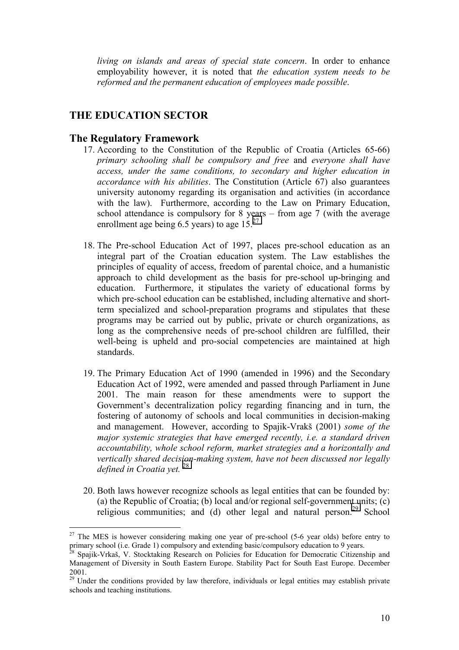*living on islands and areas of special state concern*. In order to enhance employability however, it is noted that *the education system needs to be reformed and the permanent education of employees made possible*.

## **THE EDUCATION SECTOR**

## **The Regulatory Framework**

- 17. According to the Constitution of the Republic of Croatia (Articles 65-66) *primary schooling shall be compulsory and free* and *everyone shall have access, under the same conditions, to secondary and higher education in accordance with his abilities*. The Constitution (Article 67) also guarantees university autonomy regarding its organisation and activities (in accordance with the law). Furthermore, according to the Law on Primary Education, school attendance is compulsory for  $8$  years – from age 7 (with the average enrollment age being 6.5 years) to age  $15.<sup>27</sup>$
- 18. The Pre-school Education Act of 1997, places pre-school education as an integral part of the Croatian education system. The Law establishes the principles of equality of access, freedom of parental choice, and a humanistic approach to child development as the basis for pre-school up-bringing and education. Furthermore, it stipulates the variety of educational forms by which pre-school education can be established, including alternative and shortterm specialized and school-preparation programs and stipulates that these programs may be carried out by public, private or church organizations, as long as the comprehensive needs of pre-school children are fulfilled, their well-being is upheld and pro-social competencies are maintained at high standards.
- 19. The Primary Education Act of 1990 (amended in 1996) and the Secondary Education Act of 1992, were amended and passed through Parliament in June 2001. The main reason for these amendments were to support the Government's decentralization policy regarding financing and in turn, the fostering of autonomy of schools and local communities in decision-making and management. However, according to Spajik-Vrakö (2001) *some of the major systemic strategies that have emerged recently, i.e. a standard driven accountability, whole school reform, market strategies and a horizontally and vertically shared decision-making system, have not been discussed nor legally defined in Croatia yet.* <sup>28</sup>
- 20. Both laws however recognize schools as legal entities that can be founded by: (a) the Republic of Croatia; (b) local and/or regional self-government units; (c) religious communities; and (d) other legal and natural person.<sup>29</sup> School

 $27$  The MES is however considering making one year of pre-school (5-6 year olds) before entry to primary school (i.e. Grade 1) compulsory and extending basic/compulsory education to 9 years.

<sup>28</sup> Spajik-Vrkaö, V. Stocktaking Research on Policies for Education for Democratic Citizenship and Management of Diversity in South Eastern Europe. Stability Pact for South East Europe. December 2001.

<sup>&</sup>lt;sup>29</sup> Under the conditions provided by law therefore, individuals or legal entities may establish private schools and teaching institutions.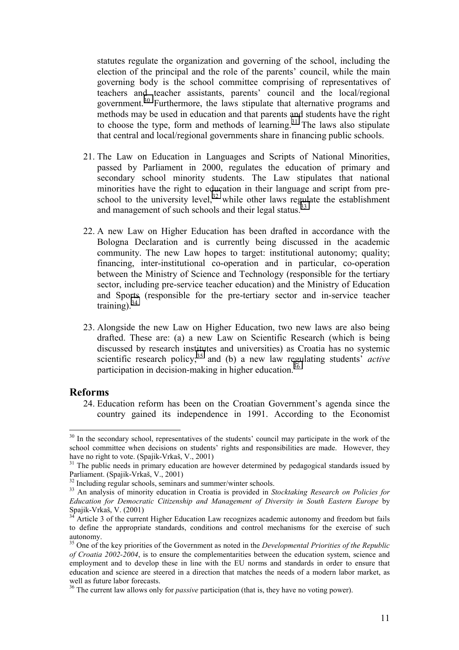statutes regulate the organization and governing of the school, including the election of the principal and the role of the parents' council, while the main governing body is the school committee comprising of representatives of teachers and teacher assistants, parents' council and the local/regional government.<sup>30</sup> Furthermore, the laws stipulate that alternative programs and methods may be used in education and that parents and students have the right to choose the type, form and methods of learning.<sup>31</sup> The laws also stipulate that central and local/regional governments share in financing public schools.

- 21. The Law on Education in Languages and Scripts of National Minorities, passed by Parliament in 2000, regulates the education of primary and secondary school minority students. The Law stipulates that national minorities have the right to education in their language and script from preschool to the university level, $32$  while other laws regulate the establishment and management of such schools and their legal status.<sup>33</sup>
- 22. A new Law on Higher Education has been drafted in accordance with the Bologna Declaration and is currently being discussed in the academic community. The new Law hopes to target: institutional autonomy; quality; financing, inter-institutional co-operation and in particular, co-operation between the Ministry of Science and Technology (responsible for the tertiary sector, including pre-service teacher education) and the Ministry of Education and Sports (responsible for the pre-tertiary sector and in-service teacher training).  $34$
- 23. Alongside the new Law on Higher Education, two new laws are also being drafted. These are: (a) a new Law on Scientific Research (which is being discussed by research institutes and universities) as Croatia has no systemic scientific research policy;<sup>35</sup> and (b) a new law regulating students<sup>7</sup> *active* participation in decision-making in higher education.<sup>36</sup>

## **Reforms**

 $\overline{a}$ 

24. Education reform has been on the Croatian Government's agenda since the country gained its independence in 1991. According to the Economist

 $30\,$  In the secondary school, representatives of the students' council may participate in the work of the school committee when decisions on students' rights and responsibilities are made. However, they have no right to vote. (Spajik-Vrkaö, V., 2001)

<sup>&</sup>lt;sup>31</sup> The public needs in primary education are however determined by pedagogical standards issued by Parliament. (Spajik-Vrkaö, V., 2001)

 $32$  Including regular schools, seminars and summer/winter schools.

<sup>33</sup> An analysis of minority education in Croatia is provided in *Stocktaking Research on Policies for Education for Democratic Citizenship and Management of Diversity in South Eastern Europe* by Spajik-Vrkaö, V. (2001)

<sup>&</sup>lt;sup>34</sup> Article 3 of the current Higher Education Law recognizes academic autonomy and freedom but fails to define the appropriate standards, conditions and control mechanisms for the exercise of such autonomy.

<sup>&</sup>lt;sup>35</sup> One of the key priorities of the Government as noted in the *Developmental Priorities of the Republic of Croatia 2002-2004*, is to ensure the complementarities between the education system, science and employment and to develop these in line with the EU norms and standards in order to ensure that education and science are steered in a direction that matches the needs of a modern labor market, as well as future labor forecasts.

<sup>&</sup>lt;sup>36</sup> The current law allows only for *passive* participation (that is, they have no voting power).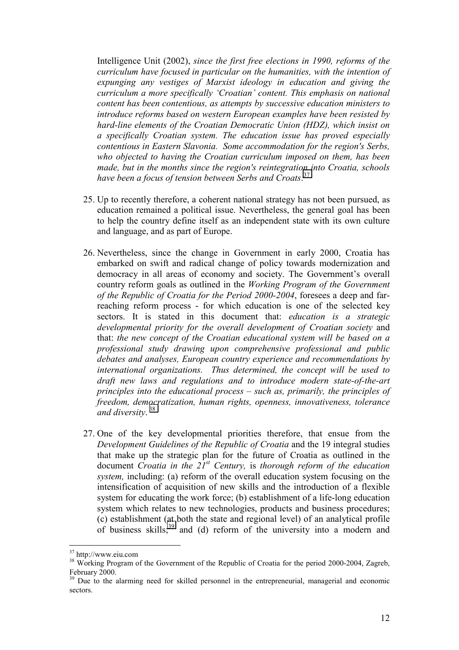Intelligence Unit (2002), *since the first free elections in 1990, reforms of the curriculum have focused in particular on the humanities, with the intention of expunging any vestiges of Marxist ideology in education and giving the curriculum a more specifically ëCroatianí content. This emphasis on national content has been contentious, as attempts by successive education ministers to introduce reforms based on western European examples have been resisted by hard-line elements of the Croatian Democratic Union (HDZ), which insist on a specifically Croatian system. The education issue has proved especially contentious in Eastern Slavonia. Some accommodation for the region's Serbs, who objected to having the Croatian curriculum imposed on them, has been made, but in the months since the region's reintegration into Croatia, schools have been a focus of tension between Serbs and Croats*. 37

- 25. Up to recently therefore, a coherent national strategy has not been pursued, as education remained a political issue. Nevertheless, the general goal has been to help the country define itself as an independent state with its own culture and language, and as part of Europe.
- 26. Nevertheless, since the change in Government in early 2000, Croatia has embarked on swift and radical change of policy towards modernization and democracy in all areas of economy and society. The Government's overall country reform goals as outlined in the *Working Program of the Government of the Republic of Croatia for the Period 2000-2004*, foresees a deep and farreaching reform process - for which education is one of the selected key sectors. It is stated in this document that: *education is a strategic developmental priority for the overall development of Croatian society* and that: *the new concept of the Croatian educational system will be based on a professional study drawing upon comprehensive professional and public debates and analyses, European country experience and recommendations by international organizations. Thus determined, the concept will be used to draft new laws and regulations and to introduce modern state-of-the-art principles into the educational process – such as, primarily, the principles of freedom, democratization, human rights, openness, innovativeness, tolerance and diversity*. 38
- 27. One of the key developmental priorities therefore, that ensue from the *Development Guidelines of the Republic of Croatia* and the 19 integral studies that make up the strategic plan for the future of Croatia as outlined in the document *Croatia in the 21st Century,* is *thorough reform of the education system,* including: (a) reform of the overall education system focusing on the intensification of acquisition of new skills and the introduction of a flexible system for educating the work force; (b) establishment of a life-long education system which relates to new technologies, products and business procedures; (c) establishment (at both the state and regional level) of an analytical profile of business skills;<sup>39</sup> and (d) reform of the university into a modern and

<sup>&</sup>lt;sup>37</sup> http://www.eiu.com

<sup>&</sup>lt;sup>38</sup> Working Program of the Government of the Republic of Croatia for the period 2000-2004, Zagreb, February 2000.

<sup>&</sup>lt;sup>39</sup> Due to the alarming need for skilled personnel in the entrepreneurial, managerial and economic sectors.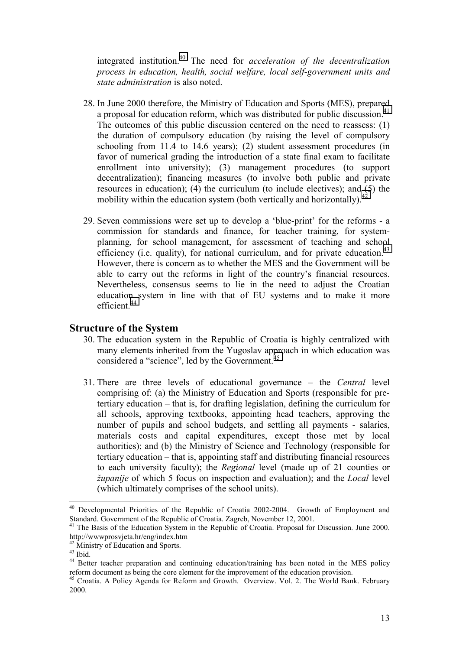integrated institution.40 The need for *acceleration of the decentralization process in education, health, social welfare, local self-government units and state administration* is also noted.

- 28. In June 2000 therefore, the Ministry of Education and Sports (MES), prepared a proposal for education reform, which was distributed for public discussion.<sup>41</sup> The outcomes of this public discussion centered on the need to reassess: (1) the duration of compulsory education (by raising the level of compulsory schooling from 11.4 to 14.6 years); (2) student assessment procedures (in favor of numerical grading the introduction of a state final exam to facilitate enrollment into university); (3) management procedures (to support decentralization); financing measures (to involve both public and private resources in education); (4) the curriculum (to include electives); and (5) the mobility within the education system (both vertically and horizontally).<sup>42</sup>
- 29. Seven commissions were set up to develop a 'blue-print' for the reforms a commission for standards and finance, for teacher training, for systemplanning, for school management, for assessment of teaching and school efficiency (i.e. quality), for national curriculum, and for private education.<sup>43</sup> However, there is concern as to whether the MES and the Government will be able to carry out the reforms in light of the country's financial resources. Nevertheless, consensus seems to lie in the need to adjust the Croatian education system in line with that of EU systems and to make it more efficient<sup>44</sup>

## **Structure of the System**

- 30. The education system in the Republic of Croatia is highly centralized with many elements inherited from the Yugoslav approach in which education was considered a "science", led by the Government. $45$
- 31. There are three levels of educational governance the *Central* level comprising of: (a) the Ministry of Education and Sports (responsible for pretertiary education  $-$  that is, for drafting legislation, defining the curriculum for all schools, approving textbooks, appointing head teachers, approving the number of pupils and school budgets, and settling all payments - salaries, materials costs and capital expenditures, except those met by local authorities); and (b) the Ministry of Science and Technology (responsible for tertiary education  $-$  that is, appointing staff and distributing financial resources to each university faculty); the *Regional* level (made up of 21 counties or *ûupanije* of which 5 focus on inspection and evaluation); and the *Local* level (which ultimately comprises of the school units).

<sup>&</sup>lt;sup>40</sup> Developmental Priorities of the Republic of Croatia 2002-2004. Growth of Employment and Standard. Government of the Republic of Croatia. Zagreb, November 12, 2001.

<sup>&</sup>lt;sup>41</sup> The Basis of the Education System in the Republic of Croatia. Proposal for Discussion. June 2000. http://wwwprosvjeta.hr/eng/index.htm

<sup>&</sup>lt;sup>42</sup> Ministry of Education and Sports.

 $^{43}$  Ibid.

<sup>44</sup> Better teacher preparation and continuing education/training has been noted in the MES policy reform document as being the core element for the improvement of the education provision.

<sup>&</sup>lt;sup>45</sup> Croatia. A Policy Agenda for Reform and Growth. Overview. Vol. 2. The World Bank. February 2000.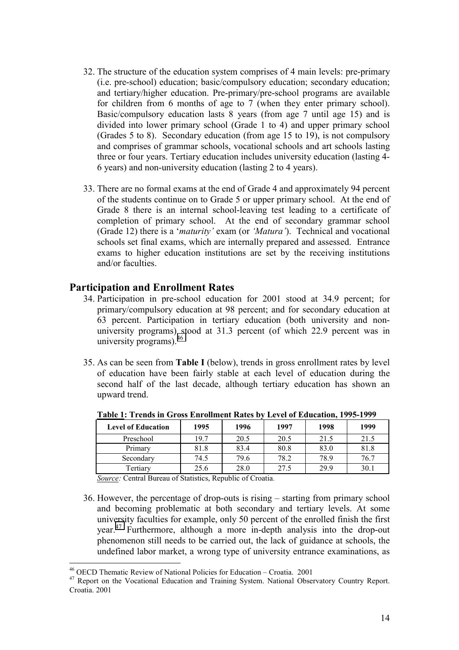- 32. The structure of the education system comprises of 4 main levels: pre-primary (i.e. pre-school) education; basic/compulsory education; secondary education; and tertiary/higher education. Pre-primary/pre-school programs are available for children from 6 months of age to 7 (when they enter primary school). Basic/compulsory education lasts 8 years (from age 7 until age 15) and is divided into lower primary school (Grade 1 to 4) and upper primary school (Grades 5 to 8). Secondary education (from age 15 to 19), is not compulsory and comprises of grammar schools, vocational schools and art schools lasting three or four years. Tertiary education includes university education (lasting 4- 6 years) and non-university education (lasting 2 to 4 years).
- 33. There are no formal exams at the end of Grade 4 and approximately 94 percent of the students continue on to Grade 5 or upper primary school. At the end of Grade 8 there is an internal school-leaving test leading to a certificate of completion of primary school. At the end of secondary grammar school (Grade 12) there is a ë*maturityí* exam (or *ëMaturaí*). Technical and vocational schools set final exams, which are internally prepared and assessed. Entrance exams to higher education institutions are set by the receiving institutions and/or faculties.

## **Participation and Enrollment Rates**

- 34. Participation in pre-school education for 2001 stood at 34.9 percent; for primary/compulsory education at 98 percent; and for secondary education at 63 percent. Participation in tertiary education (both university and nonuniversity programs) stood at 31.3 percent (of which 22.9 percent was in university programs).<sup>46</sup>
- 35. As can be seen from **Table I** (below), trends in gross enrollment rates by level of education have been fairly stable at each level of education during the second half of the last decade, although tertiary education has shown an upward trend.

| <b>Level of Education</b> | 1995 | 1996 | 1997 | 1998 | 1999 |
|---------------------------|------|------|------|------|------|
| Preschool                 | 19.7 | 20.5 | 20.5 | 21.5 | 21.5 |
| Primary                   | 81.8 | 83.4 | 80.8 | 83.0 | 81.8 |
| Secondary                 | 74.5 | 79.6 | 78.2 | 78.9 | 76.7 |
| Tertiary                  | 25.6 | 28.0 | 27.5 | 29.9 | 30.1 |

**Table 1: Trends in Gross Enrollment Rates by Level of Education, 1995-1999**

*Source:* Central Bureau of Statistics, Republic of Croatia.

36. However, the percentage of drop-outs is rising  $-$  starting from primary school and becoming problematic at both secondary and tertiary levels. At some university faculties for example, only 50 percent of the enrolled finish the first year.47 Furthermore, although a more in-depth analysis into the drop-out phenomenon still needs to be carried out, the lack of guidance at schools, the undefined labor market, a wrong type of university entrance examinations, as

 $46$  OECD Thematic Review of National Policies for Education – Croatia. 2001

<sup>&</sup>lt;sup>47</sup> Report on the Vocational Education and Training System. National Observatory Country Report. Croatia. 2001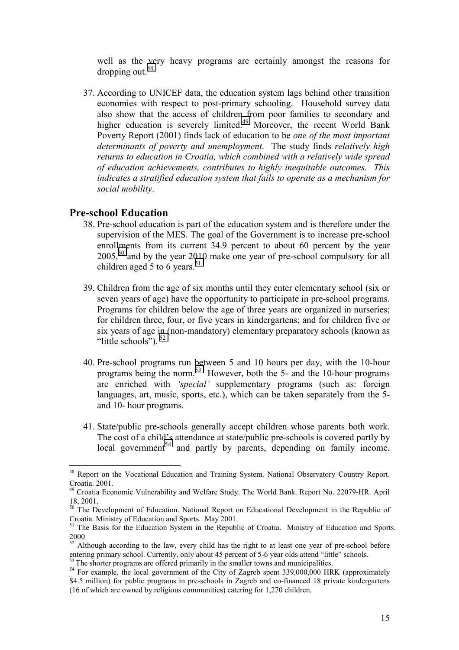well as the very heavy programs are certainly amongst the reasons for dropping out.<sup>48</sup>

37. According to UNICEF data, the education system lags behind other transition economies with respect to post-primary schooling. Household survey data also show that the access of children from poor families to secondary and higher education is severely limited.<sup>49</sup> Moreover, the recent World Bank Poverty Report (2001) finds lack of education to be *one of the most important determinants of poverty and unemployment*. The study finds *relatively high returns to education in Croatia, which combined with a relatively wide spread of education achievements, contributes to highly inequitable outcomes. This indicates a stratified education system that fails to operate as a mechanism for social mobility*.

## **Pre-school Education**

- 38. Pre-school education is part of the education system and is therefore under the supervision of the MES. The goal of the Government is to increase pre-school enrollments from its current 34.9 percent to about 60 percent by the year  $2005$ ,<sup>50</sup> and by the year 2010 make one year of pre-school compulsory for all children aged 5 to 6 years.<sup>51</sup>
- 39. Children from the age of six months until they enter elementary school (six or seven years of age) have the opportunity to participate in pre-school programs. Programs for children below the age of three years are organized in nurseries; for children three, four, or five years in kindergartens; and for children five or six years of age in (non-mandatory) elementary preparatory schools (known as "little schools").  $52$
- 40. Pre-school programs run between 5 and 10 hours per day, with the 10-hour programs being the norm.53 However, both the 5- and the 10-hour programs are enriched with 'special' supplementary programs (such as: foreign languages, art, music, sports, etc.), which can be taken separately from the 5 and 10- hour programs.
- 41. State/public pre-schools generally accept children whose parents both work. The cost of a child's attendance at state/public pre-schools is covered partly by  $local government<sup>54</sup>$  and partly by parents, depending on family income.

<sup>&</sup>lt;sup>48</sup> Report on the Vocational Education and Training System. National Observatory Country Report. Croatia. 2001.

<sup>&</sup>lt;sup>49</sup> Croatia Economic Vulnerability and Welfare Study. The World Bank. Report No. 22079-HR. April 18, 2001.

<sup>&</sup>lt;sup>50</sup> The Development of Education. National Report on Educational Development in the Republic of Croatia. Ministry of Education and Sports. May 2001.

<sup>&</sup>lt;sup>51</sup> The Basis for the Education System in the Republic of Croatia. Ministry of Education and Sports. 2000

<sup>&</sup>lt;sup>52</sup> Although according to the law, every child has the right to at least one year of pre-school before entering primary school. Currently, only about 45 percent of 5-6 year olds attend "little" schools.<br><sup>53</sup> The shorter programs are offered primarily in the smaller towns and municipalities.

 $54$  For example, the local government of the City of Zagreb spent 339,000,000 HRK (approximately \$4.5 million) for public programs in pre-schools in Zagreb and co-financed 18 private kindergartens (16 of which are owned by religious communities) catering for 1,270 children.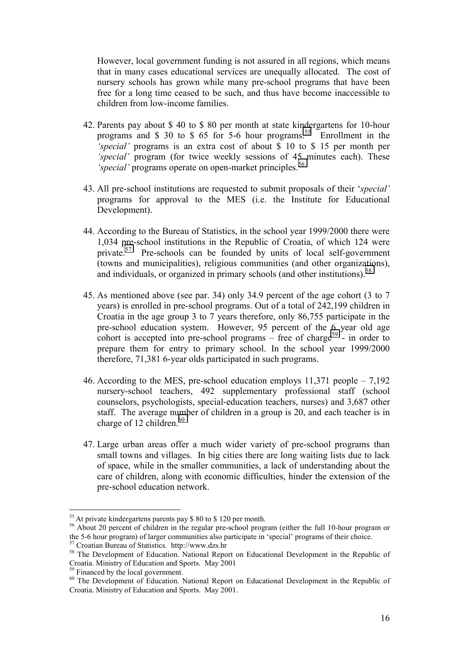However, local government funding is not assured in all regions, which means that in many cases educational services are unequally allocated. The cost of nursery schools has grown while many pre-school programs that have been free for a long time ceased to be such, and thus have become inaccessible to children from low-income families.

- 42. Parents pay about \$ 40 to \$ 80 per month at state kindergartens for 10-hour programs and  $\frac{1}{2}$  30 to  $\frac{1}{2}$  65 for 5-6 hour programs.<sup>55</sup> Enrollment in the *ëspecialí* programs is an extra cost of about \$ 10 to \$ 15 per month per *'special'* program (for twice weekly sessions of 45 minutes each). These *special'* programs operate on open-market principles.<sup>56</sup>
- 43. All pre-school institutions are requested to submit proposals of their ë*specialí* programs for approval to the MES (i.e. the Institute for Educational Development).
- 44. According to the Bureau of Statistics, in the school year 1999/2000 there were 1,034 pre-school institutions in the Republic of Croatia, of which 124 were private.<sup>57</sup> Pre-schools can be founded by units of local self-government (towns and municipalities), religious communities (and other organizations), and individuals, or organized in primary schools (and other institutions).<sup>58</sup>
- 45. As mentioned above (see par. 34) only 34.9 percent of the age cohort (3 to 7 years) is enrolled in pre-school programs. Out of a total of 242,199 children in Croatia in the age group 3 to 7 years therefore, only 86,755 participate in the pre-school education system. However, 95 percent of the 6 year old age cohort is accepted into pre-school programs – free of charge<sup>59</sup> - in order to prepare them for entry to primary school. In the school year 1999/2000 therefore, 71,381 6-year olds participated in such programs.
- 46. According to the MES, pre-school education employs  $11,371$  people  $-7,192$ nursery-school teachers, 492 supplementary professional staff (school counselors, psychologists, special-education teachers, nurses) and 3,687 other staff. The average number of children in a group is 20, and each teacher is in charge of 12 children. $60$
- 47. Large urban areas offer a much wider variety of pre-school programs than small towns and villages. In big cities there are long waiting lists due to lack of space, while in the smaller communities, a lack of understanding about the care of children, along with economic difficulties, hinder the extension of the pre-school education network.

<sup>&</sup>lt;sup>55</sup> At private kindergartens parents pay \$ 80 to \$ 120 per month.<br><sup>56</sup> About 20 percent of children in the regular pre-school program (either the full 10-hour program or the 5-6 hour program) of larger communities also participate in 'special' programs of their choice.

<sup>57</sup> Croatian Bureau of Statistics. http://www.dzs.hr

<sup>&</sup>lt;sup>58</sup> The Development of Education. National Report on Educational Development in the Republic of Croatia. Ministry of Education and Sports. May 2001

<sup>&</sup>lt;sup>59</sup> Financed by the local government.

<sup>&</sup>lt;sup>60</sup> The Development of Education. National Report on Educational Development in the Republic of Croatia. Ministry of Education and Sports. May 2001.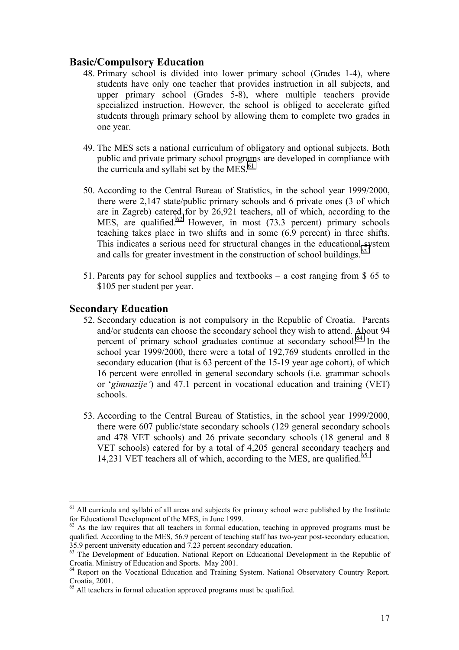## **Basic/Compulsory Education**

- 48. Primary school is divided into lower primary school (Grades 1-4), where students have only one teacher that provides instruction in all subjects, and upper primary school (Grades 5-8), where multiple teachers provide specialized instruction. However, the school is obliged to accelerate gifted students through primary school by allowing them to complete two grades in one year.
- 49. The MES sets a national curriculum of obligatory and optional subjects. Both public and private primary school programs are developed in compliance with the curricula and syllabi set by the MES. $<sup>61</sup>$ </sup>
- 50. According to the Central Bureau of Statistics, in the school year 1999/2000, there were 2,147 state/public primary schools and 6 private ones (3 of which are in Zagreb) catered for by 26,921 teachers, all of which, according to the MES, are qualified.<sup>62</sup> However, in most  $(73.3 \text{ percent})$  primary schools teaching takes place in two shifts and in some (6.9 percent) in three shifts. This indicates a serious need for structural changes in the educational system and calls for greater investment in the construction of school buildings.<sup>63</sup>
- 51. Parents pay for school supplies and textbooks  $-$  a cost ranging from \$ 65 to \$105 per student per year.

## **Secondary Education**

- 52. Secondary education is not compulsory in the Republic of Croatia. Parents and/or students can choose the secondary school they wish to attend. About 94 percent of primary school graduates continue at secondary school.<sup>64</sup> In the school year 1999/2000, there were a total of 192,769 students enrolled in the secondary education (that is 63 percent of the 15-19 year age cohort), of which 16 percent were enrolled in general secondary schools (i.e. grammar schools or ë*gimnazijeí*) and 47.1 percent in vocational education and training (VET) schools.
- 53. According to the Central Bureau of Statistics, in the school year 1999/2000, there were 607 public/state secondary schools (129 general secondary schools and 478 VET schools) and 26 private secondary schools (18 general and 8 VET schools) catered for by a total of 4,205 general secondary teachers and 14,231 VET teachers all of which, according to the MES, are qualified.<sup>65</sup>

 $61$  All curricula and syllabi of all areas and subjects for primary school were published by the Institute for Educational Development of the MES, in June 1999.

 $62$  As the law requires that all teachers in formal education, teaching in approved programs must be qualified. According to the MES, 56.9 percent of teaching staff has two-year post-secondary education, 35.9 percent university education and 7.23 percent secondary education.

<sup>&</sup>lt;sup>63</sup> The Development of Education. National Report on Educational Development in the Republic of Croatia. Ministry of Education and Sports. May 2001.

<sup>&</sup>lt;sup>64</sup> Report on the Vocational Education and Training System. National Observatory Country Report. Croatia, 2001.

<sup>&</sup>lt;sup>65</sup> All teachers in formal education approved programs must be qualified.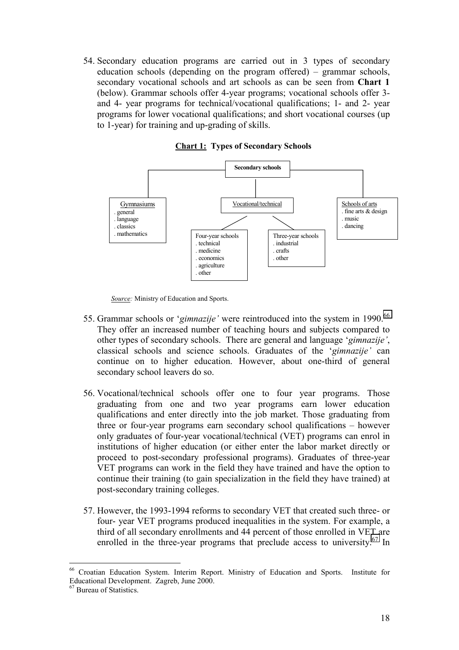54. Secondary education programs are carried out in 3 types of secondary education schools (depending on the program offered)  $-$  grammar schools, secondary vocational schools and art schools as can be seen from **Chart 1** (below). Grammar schools offer 4-year programs; vocational schools offer 3 and 4- year programs for technical/vocational qualifications; 1- and 2- year programs for lower vocational qualifications; and short vocational courses (up to 1-year) for training and up-grading of skills.



**Chart 1: Types of Secondary Schools**

*Source:* Ministry of Education and Sports.

- 55. Grammar schools or '*gimnazije*' were reintroduced into the system in 1990.<sup>66</sup> They offer an increased number of teaching hours and subjects compared to other types of secondary schools. There are general and language ë*gimnazijeí*, classical schools and science schools. Graduates of the 'gimnazije' can continue on to higher education. However, about one-third of general secondary school leavers do so.
- 56. Vocational/technical schools offer one to four year programs. Those graduating from one and two year programs earn lower education qualifications and enter directly into the job market. Those graduating from three or four-year programs earn secondary school qualifications  $-$  however only graduates of four-year vocational/technical (VET) programs can enrol in institutions of higher education (or either enter the labor market directly or proceed to post-secondary professional programs). Graduates of three-year VET programs can work in the field they have trained and have the option to continue their training (to gain specialization in the field they have trained) at post-secondary training colleges.
- 57. However, the 1993-1994 reforms to secondary VET that created such three- or four- year VET programs produced inequalities in the system. For example, a third of all secondary enrollments and 44 percent of those enrolled in VET are enrolled in the three-year programs that preclude access to university.<sup>67</sup> In

<sup>66</sup> Croatian Education System. Interim Report. Ministry of Education and Sports. Institute for Educational Development. Zagreb, June 2000.

<sup>&</sup>lt;sup>67</sup> Bureau of Statistics.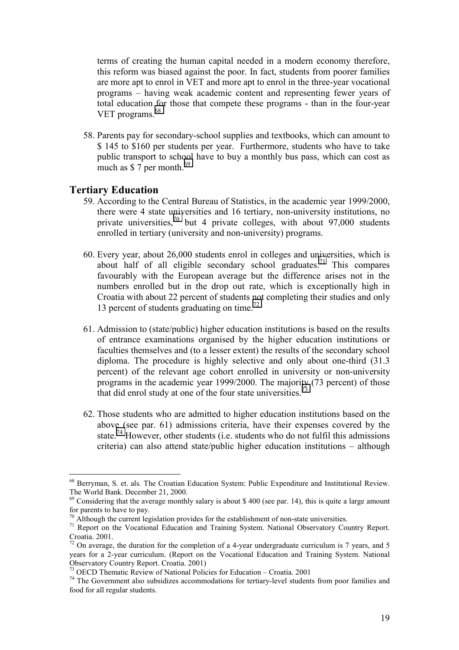terms of creating the human capital needed in a modern economy therefore, this reform was biased against the poor. In fact, students from poorer families are more apt to enrol in VET and more apt to enrol in the three-year vocational programs – having weak academic content and representing fewer years of total education for those that compete these programs - than in the four-year VET programs.<sup>68</sup>

58. Parents pay for secondary-school supplies and textbooks, which can amount to \$ 145 to \$160 per students per year. Furthermore, students who have to take public transport to school have to buy a monthly bus pass, which can cost as much as  $$7$  per month.<sup>69</sup>

## **Tertiary Education**

- 59. According to the Central Bureau of Statistics, in the academic year 1999/2000, there were 4 state universities and 16 tertiary, non-university institutions, no private universities,<sup>70</sup> but 4 private colleges, with about  $97,000$  students enrolled in tertiary (university and non-university) programs.
- 60. Every year, about 26,000 students enrol in colleges and universities, which is about half of all eligible secondary school graduates.<sup>71</sup> This compares favourably with the European average but the difference arises not in the numbers enrolled but in the drop out rate, which is exceptionally high in Croatia with about 22 percent of students not completing their studies and only 13 percent of students graduating on time.<sup>72</sup>
- 61. Admission to (state/public) higher education institutions is based on the results of entrance examinations organised by the higher education institutions or faculties themselves and (to a lesser extent) the results of the secondary school diploma. The procedure is highly selective and only about one-third (31.3 percent) of the relevant age cohort enrolled in university or non-university programs in the academic year 1999/2000. The majority (73 percent) of those that did enrol study at one of the four state universities.<sup>73</sup>
- 62. Those students who are admitted to higher education institutions based on the above (see par. 61) admissions criteria, have their expenses covered by the state.<sup>74</sup> However, other students (i.e. students who do not fulfil this admissions criteria) can also attend state/public higher education institutions  $-$  although

<sup>68</sup> Berryman, S. et. als. The Croatian Education System: Public Expenditure and Institutional Review. The World Bank. December 21, 2000.

<sup>&</sup>lt;sup>69</sup> Considering that the average monthly salary is about \$400 (see par. 14), this is quite a large amount for parents to have to pay.

 $70$  Although the current legislation provides for the establishment of non-state universities.

<sup>&</sup>lt;sup>71</sup> Report on the Vocational Education and Training System. National Observatory Country Report. Croatia. 2001.

 $\frac{72}{2}$  On average, the duration for the completion of a 4-year undergraduate curriculum is 7 years, and 5 years for a 2-year curriculum. (Report on the Vocational Education and Training System. National Observatory Country Report. Croatia. 2001)

 $\frac{73}{12}$  OECD Thematic Review of National Policies for Education – Croatia. 2001

<sup>&</sup>lt;sup>74</sup> The Government also subsidizes accommodations for tertiary-level students from poor families and food for all regular students.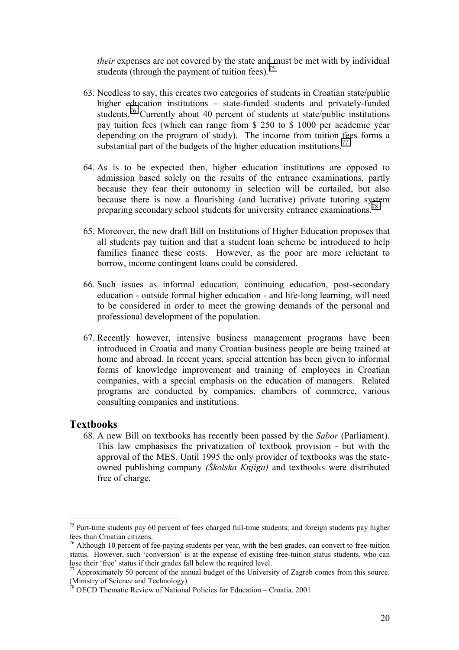*their* expenses are not covered by the state and must be met with by individual students (through the payment of tuition fees).<sup>75</sup>

- 63. Needless to say, this creates two categories of students in Croatian state/public higher education institutions – state-funded students and privately-funded students.<sup>76</sup> Currently about 40 percent of students at state/public institutions pay tuition fees (which can range from \$ 250 to \$ 1000 per academic year depending on the program of study). The income from tuition fees forms a substantial part of the budgets of the higher education institutions.<sup>77</sup>
- 64. As is to be expected then, higher education institutions are opposed to admission based solely on the results of the entrance examinations, partly because they fear their autonomy in selection will be curtailed, but also because there is now a flourishing (and lucrative) private tutoring system preparing secondary school students for university entrance examinations.<sup>78</sup>
- 65. Moreover, the new draft Bill on Institutions of Higher Education proposes that all students pay tuition and that a student loan scheme be introduced to help families finance these costs. However, as the poor are more reluctant to borrow, income contingent loans could be considered.
- 66. Such issues as informal education, continuing education, post-secondary education - outside formal higher education - and life-long learning, will need to be considered in order to meet the growing demands of the personal and professional development of the population.
- 67. Recently however, intensive business management programs have been introduced in Croatia and many Croatian business people are being trained at home and abroad. In recent years, special attention has been given to informal forms of knowledge improvement and training of employees in Croatian companies, with a special emphasis on the education of managers. Related programs are conducted by companies, chambers of commerce, various consulting companies and institutions.

## **Textbooks**

 $\overline{a}$ 

68. A new Bill on textbooks has recently been passed by the *Sabor* (Parliament). This law emphasises the privatization of textbook provision - but with the approval of the MES. Until 1995 the only provider of textbooks was the stateowned publishing company *(äkolska Knjiga)* and textbooks were distributed free of charge.

 $75$  Part-time students pay 60 percent of fees charged full-time students; and foreign students pay higher fees than Croatian citizens.

 $76$  Although 10 percent of fee-paying students per year, with the best grades, can convert to free-tuition status. However, such 'conversion' is at the expense of existing free-tuition status students, who can lose their 'free' status if their grades fall below the required level.

 $^{77}$  Approximately 50 percent of the annual budget of the University of Zagreb comes from this source. (Ministry of Science and Technology)

 $3$  OECD Thematic Review of National Policies for Education – Croatia. 2001.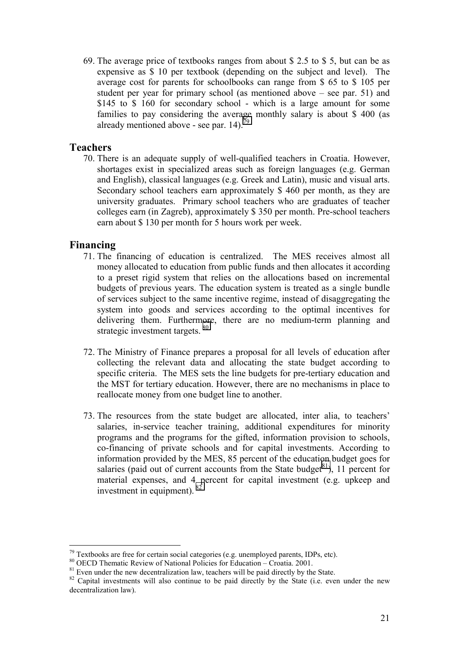69. The average price of textbooks ranges from about \$ 2.5 to \$ 5, but can be as expensive as \$ 10 per textbook (depending on the subject and level). The average cost for parents for schoolbooks can range from \$ 65 to \$ 105 per student per year for primary school (as mentioned above  $-$  see par. 51) and \$145 to \$ 160 for secondary school - which is a large amount for some families to pay considering the average monthly salary is about \$ 400 (as already mentioned above - see par.  $14$ ).<sup>79</sup>

## **Teachers**

70. There is an adequate supply of well-qualified teachers in Croatia. However, shortages exist in specialized areas such as foreign languages (e.g. German and English), classical languages (e.g. Greek and Latin), music and visual arts. Secondary school teachers earn approximately \$ 460 per month, as they are university graduates. Primary school teachers who are graduates of teacher colleges earn (in Zagreb), approximately \$ 350 per month. Pre-school teachers earn about \$ 130 per month for 5 hours work per week.

## **Financing**

- 71. The financing of education is centralized. The MES receives almost all money allocated to education from public funds and then allocates it according to a preset rigid system that relies on the allocations based on incremental budgets of previous years. The education system is treated as a single bundle of services subject to the same incentive regime, instead of disaggregating the system into goods and services according to the optimal incentives for delivering them. Furthermore, there are no medium-term planning and strategic investment targets.  $80$
- 72. The Ministry of Finance prepares a proposal for all levels of education after collecting the relevant data and allocating the state budget according to specific criteria. The MES sets the line budgets for pre-tertiary education and the MST for tertiary education. However, there are no mechanisms in place to reallocate money from one budget line to another.
- 73. The resources from the state budget are allocated, inter alia, to teachers' salaries, in-service teacher training, additional expenditures for minority programs and the programs for the gifted, information provision to schools, co-financing of private schools and for capital investments. According to information provided by the MES, 85 percent of the education budget goes for salaries (paid out of current accounts from the State budget<sup>81</sup>), 11 percent for material expenses, and 4 percent for capital investment (e.g. upkeep and investment in equipment). 82

 $79$  Textbooks are free for certain social categories (e.g. unemployed parents, IDPs, etc).

<sup>&</sup>lt;sup>80</sup> OECD Thematic Review of National Policies for Education – Croatia. 2001.

 $81$  Even under the new decentralization law, teachers will be paid directly by the State.

<sup>&</sup>lt;sup>82</sup> Capital investments will also continue to be paid directly by the State (i.e. even under the new decentralization law).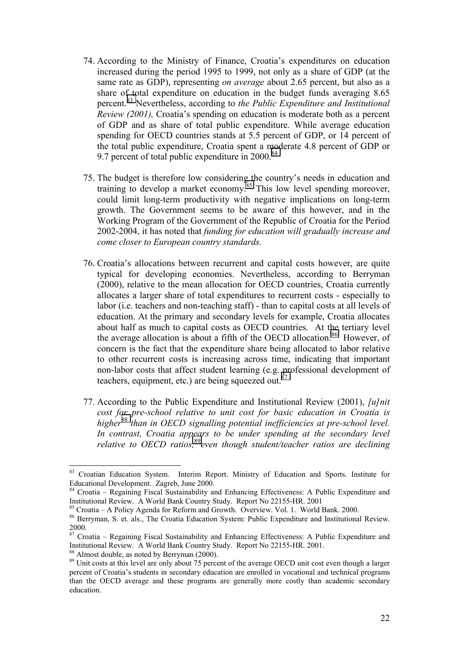- 74. According to the Ministry of Finance, Croatiaís expenditures on education increased during the period 1995 to 1999, not only as a share of GDP (at the same rate as GDP), representing *on average* about 2.65 percent, but also as a share of total expenditure on education in the budget funds averaging 8.65 percent.83 Nevertheless, according to *the Public Expenditure and Institutional Review (2001),* Croatia's spending on education is moderate both as a percent of GDP and as share of total public expenditure. While average education spending for OECD countries stands at 5.5 percent of GDP, or 14 percent of the total public expenditure, Croatia spent a moderate 4.8 percent of GDP or 9.7 percent of total public expenditure in  $2000$ .<sup>84</sup>
- 75. The budget is therefore low considering the country's needs in education and training to develop a market economy.<sup>85</sup> This low level spending moreover, could limit long-term productivity with negative implications on long-term growth. The Government seems to be aware of this however, and in the Working Program of the Government of the Republic of Croatia for the Period 2002-2004, it has noted that *funding for education will gradually increase and come closer to European country standards.*
- 76. Croatiaís allocations between recurrent and capital costs however, are quite typical for developing economies. Nevertheless, according to Berryman (2000), relative to the mean allocation for OECD countries, Croatia currently allocates a larger share of total expenditures to recurrent costs - especially to labor (i.e. teachers and non-teaching staff) - than to capital costs at all levels of education. At the primary and secondary levels for example, Croatia allocates about half as much to capital costs as OECD countries. At the tertiary level the average allocation is about a fifth of the OECD allocation.<sup>86</sup> However, of concern is the fact that the expenditure share being allocated to labor relative to other recurrent costs is increasing across time, indicating that important non-labor costs that affect student learning (e.g. professional development of teachers, equipment, etc.) are being squeezed out.<sup>8</sup>
- 77. According to the Public Expenditure and Institutional Review (2001), *[u]nit cost for pre-school relative to unit cost for basic education in Croatia is higher*<sup>88</sup> *than in OECD signalling potential inefficiencies at pre-school level. In contrast, Croatia appears to be under spending at the secondary level relative to OECD ratios,*<sup>89</sup>*even though student/teacher ratios are declining*

<sup>&</sup>lt;sup>83</sup> Croatian Education System. Interim Report. Ministry of Education and Sports. Institute for Educational Development. Zagreb, June 2000.

 $84$  Croatia – Regaining Fiscal Sustainability and Enhancing Effectiveness: A Public Expenditure and Institutional Review. A World Bank Country Study. Report No 22155-HR. 2001

 $85$  Croatia – A Policy Agenda for Reform and Growth. Overview. Vol. 1. World Bank. 2000.

<sup>86</sup> Berryman, S. et. als., The Croatia Education System: Public Expenditure and Institutional Review. 2000.

 $87$  Croatia – Regaining Fiscal Sustainability and Enhancing Effectiveness: A Public Expenditure and Institutional Review. A World Bank Country Study. Report No 22155-HR. 2001.

<sup>88</sup> Almost double, as noted by Berryman (2000).

<sup>&</sup>lt;sup>89</sup> Unit costs at this level are only about 75 percent of the average OECD unit cost even though a larger percent of Croatiaís students in secondary education are enrolled in vocational and technical programs than the OECD average and these programs are generally more costly than academic secondary education.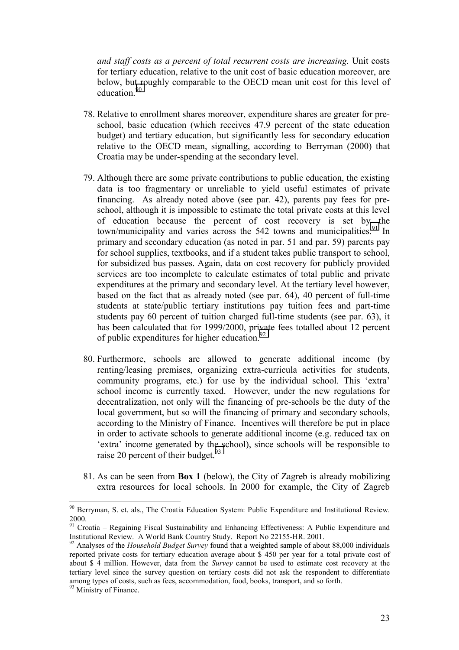*and staff costs as a percent of total recurrent costs are increasing.* Unit costs for tertiary education, relative to the unit cost of basic education moreover, are below, but roughly comparable to the OECD mean unit cost for this level of education.<sup>90</sup>

- 78. Relative to enrollment shares moreover, expenditure shares are greater for preschool, basic education (which receives 47.9 percent of the state education budget) and tertiary education, but significantly less for secondary education relative to the OECD mean, signalling, according to Berryman (2000) that Croatia may be under-spending at the secondary level.
- 79. Although there are some private contributions to public education, the existing data is too fragmentary or unreliable to yield useful estimates of private financing. As already noted above (see par. 42), parents pay fees for preschool, although it is impossible to estimate the total private costs at this level of education because the percent of cost recovery is set by the town/municipality and varies across the  $542$  towns and municipalities.<sup>91</sup> In primary and secondary education (as noted in par. 51 and par. 59) parents pay for school supplies, textbooks, and if a student takes public transport to school, for subsidized bus passes. Again, data on cost recovery for publicly provided services are too incomplete to calculate estimates of total public and private expenditures at the primary and secondary level. At the tertiary level however, based on the fact that as already noted (see par. 64), 40 percent of full-time students at state/public tertiary institutions pay tuition fees and part-time students pay 60 percent of tuition charged full-time students (see par. 63), it has been calculated that for 1999/2000, private fees totalled about 12 percent of public expenditures for higher education.  $92$
- 80. Furthermore, schools are allowed to generate additional income (by renting/leasing premises, organizing extra-curricula activities for students, community programs, etc.) for use by the individual school. This 'extra' school income is currently taxed. However, under the new regulations for decentralization, not only will the financing of pre-schools be the duty of the local government, but so will the financing of primary and secondary schools, according to the Ministry of Finance. Incentives will therefore be put in place in order to activate schools to generate additional income (e.g. reduced tax on 'extra' income generated by the school), since schools will be responsible to raise 20 percent of their budget. $93$
- 81. As can be seen from **Box 1** (below), the City of Zagreb is already mobilizing extra resources for local schools. In 2000 for example, the City of Zagreb

<sup>&</sup>lt;sup>90</sup> Berryman, S. et. als., The Croatia Education System: Public Expenditure and Institutional Review. 2000.

 $91$  Croatia – Regaining Fiscal Sustainability and Enhancing Effectiveness: A Public Expenditure and Institutional Review. A World Bank Country Study. Report No 22155-HR. 2001.

<sup>&</sup>lt;sup>92</sup> Analyses of the *Household Budget Survey* found that a weighted sample of about 88,000 individuals reported private costs for tertiary education average about \$ 450 per year for a total private cost of about \$ 4 million. However, data from the *Survey* cannot be used to estimate cost recovery at the tertiary level since the survey question on tertiary costs did not ask the respondent to differentiate among types of costs, such as fees, accommodation, food, books, transport, and so forth.

<sup>&</sup>lt;sup>93</sup> Ministry of Finance.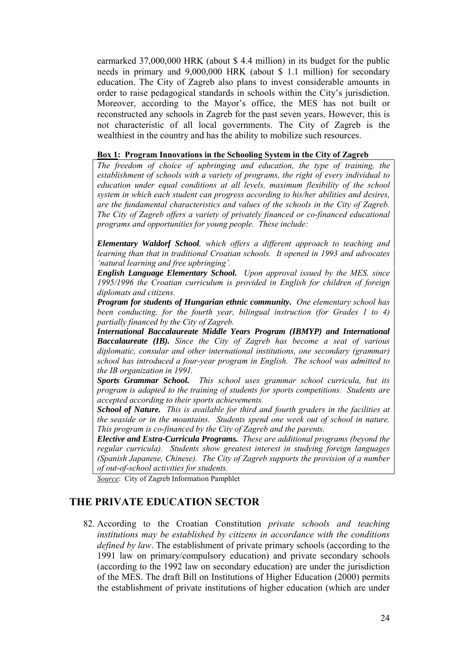earmarked 37,000,000 HRK (about \$ 4.4 million) in its budget for the public needs in primary and 9,000,000 HRK (about \$ 1.1 million) for secondary education. The City of Zagreb also plans to invest considerable amounts in order to raise pedagogical standards in schools within the City's jurisdiction. Moreover, according to the Mayor's office, the MES has not built or reconstructed any schools in Zagreb for the past seven years. However, this is not characteristic of all local governments. The City of Zagreb is the wealthiest in the country and has the ability to mobilize such resources.

#### **Box 1: Program Innovations in the Schooling System in the City of Zagreb**

*The freedom of choice of upbringing and education, the type of training, the establishment of schools with a variety of programs, the right of every individual to education under equal conditions at all levels, maximum flexibility of the school system in which each student can progress according to his/her abilities and desires, are the fundamental characteristics and values of the schools in the City of Zagreb. The City of Zagreb offers a variety of privately financed or co-financed educational programs and opportunities for young people. These include:*

*Elementary Waldorf School, which offers a different approach to teaching and learning than that in traditional Croatian schools. It opened in 1993 and advocates ënatural learning and free upbringingí.*

*English Language Elementary School. Upon approval issued by the MES, since 1995/1996 the Croatian curriculum is provided in English for children of foreign diplomats and citizens*.

*Program for students of Hungarian ethnic community. One elementary school has been conducting, for the fourth year, bilingual instruction (for Grades 1 to 4) partially financed by the City of Zagreb.*

*International Baccalaureate Middle Years Program (IBMYP) and International Baccalaureate (IB). Since the City of Zagreb has become a seat of various diplomatic, consular and other international institutions, one secondary (grammar) school has introduced a four-year program in English. The school was admitted to the IB organization in 1991.*

*Sports Grammar School. This school uses grammar school curricula, but its program is adapted to the training of students for sports competitions. Students are accepted according to their sports achievements.*

*School of Nature. This is available for third and fourth graders in the facilities at the seaside or in the mountains. Students spend one week out of school in nature. This program is co-financed by the City of Zagreb and the parents.*

*Elective and Extra-Curricula Programs. These are additional programs (beyond the regular curricula). Students show greatest interest in studying foreign languages (Spanish Japanese, Chinese). The City of Zagreb supports the provision of a number of out-of-school activities for students.*

*Source*: City of Zagreb Information Pamphlet

## **THE PRIVATE EDUCATION SECTOR**

82. According to the Croatian Constitution *private schools and teaching institutions may be established by citizens in accordance with the conditions defined by law*. The establishment of private primary schools (according to the 1991 law on primary/compulsory education) and private secondary schools (according to the 1992 law on secondary education) are under the jurisdiction of the MES. The draft Bill on Institutions of Higher Education (2000) permits the establishment of private institutions of higher education (which are under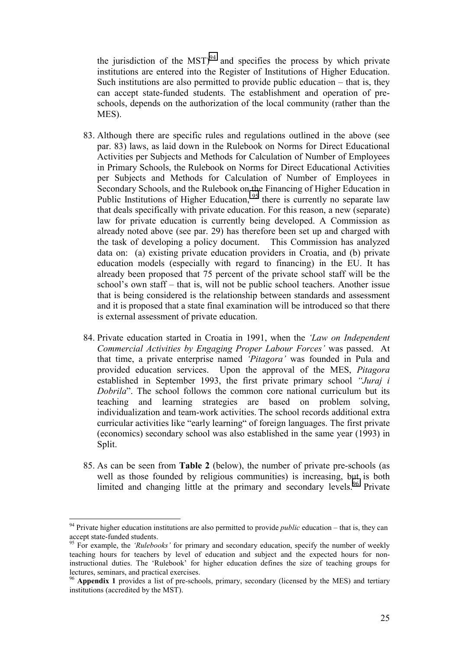the jurisdiction of the MST $)^{94}$  and specifies the process by which private institutions are entered into the Register of Institutions of Higher Education. Such institutions are also permitted to provide public education  $-$  that is, they can accept state-funded students. The establishment and operation of preschools, depends on the authorization of the local community (rather than the MES).

- 83. Although there are specific rules and regulations outlined in the above (see par. 83) laws, as laid down in the Rulebook on Norms for Direct Educational Activities per Subjects and Methods for Calculation of Number of Employees in Primary Schools, the Rulebook on Norms for Direct Educational Activities per Subjects and Methods for Calculation of Number of Employees in Secondary Schools, and the Rulebook on the Financing of Higher Education in Public Institutions of Higher Education, <sup>95</sup> there is currently no separate law that deals specifically with private education. For this reason, a new (separate) law for private education is currently being developed. A Commission as already noted above (see par. 29) has therefore been set up and charged with the task of developing a policy document. This Commission has analyzed data on: (a) existing private education providers in Croatia, and (b) private education models (especially with regard to financing) in the EU. It has already been proposed that 75 percent of the private school staff will be the school's own staff  $-$  that is, will not be public school teachers. Another issue that is being considered is the relationship between standards and assessment and it is proposed that a state final examination will be introduced so that there is external assessment of private education.
- 84. Private education started in Croatia in 1991, when the *ëLaw on Independent Commercial Activities by Engaging Proper Labour Forces'* was passed. At that time, a private enterprise named *ëPitagoraí* was founded in Pula and provided education services. Upon the approval of the MES, *Pitagora* established in September 1993, the first private primary school *"Juraj i Dobrila*". The school follows the common core national curriculum but its teaching and learning strategies are based on problem solving, individualization and team-work activities. The school records additional extra curricular activities like "early learning" of foreign languages. The first private (economics) secondary school was also established in the same year (1993) in Split.
- 85. As can be seen from **Table 2** (below), the number of private pre-schools (as well as those founded by religious communities) is increasing, but is both limited and changing little at the primary and secondary levels.<sup>96</sup> Private

 $94$  Private higher education institutions are also permitted to provide *public* education – that is, they can accept state-funded students.

<sup>&</sup>lt;sup>95</sup> For example, the *'Rulebooks'* for primary and secondary education, specify the number of weekly teaching hours for teachers by level of education and subject and the expected hours for noninstructional duties. The 'Rulebook' for higher education defines the size of teaching groups for lectures, seminars, and practical exercises.

<sup>&</sup>lt;sup>96</sup> **Appendix 1** provides a list of pre-schools, primary, secondary (licensed by the MES) and tertiary institutions (accredited by the MST).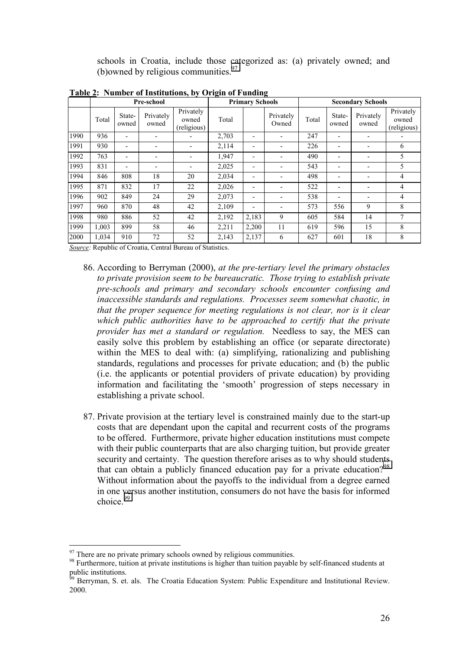schools in Croatia, include those categorized as: (a) privately owned; and (b)owned by religious communities. $97$ 

|      | Pre-school |                          |                          |                                   | <b>Primary Schools</b> |                |                          | <b>Secondary Schools</b> |                          |                    |                                   |
|------|------------|--------------------------|--------------------------|-----------------------------------|------------------------|----------------|--------------------------|--------------------------|--------------------------|--------------------|-----------------------------------|
|      | Total      | State-<br>owned          | Privately<br>owned       | Privately<br>owned<br>(religious) | Total                  |                | Privately<br>Owned       | Total                    | State-<br>owned          | Privately<br>owned | Privately<br>owned<br>(religious) |
| 1990 | 936        | ۰                        |                          |                                   | 2,703                  | -              |                          | 247                      | ۰                        |                    |                                   |
| 1991 | 930        | $\overline{\phantom{a}}$ | $\overline{\phantom{a}}$ | ٠                                 | 2,114                  | -              |                          | 226                      | ۰                        |                    | 6                                 |
| 1992 | 763        | $\overline{\phantom{a}}$ | $\overline{\phantom{a}}$ | ٠                                 | 1,947                  | -              |                          | 490                      | $\overline{\phantom{a}}$ |                    | 5                                 |
| 1993 | 831        | $\overline{\phantom{a}}$ |                          | -                                 | 2,025                  | -              |                          | 543                      | $\overline{\phantom{a}}$ |                    | 5                                 |
| 1994 | 846        | 808                      | 18                       | 20                                | 2,034                  | -              |                          | 498                      | $\overline{\phantom{a}}$ |                    | 4                                 |
| 1995 | 871        | 832                      | 17                       | 22                                | 2,026                  | $\blacksquare$ |                          | 522                      | ۰                        |                    | $\overline{4}$                    |
| 1996 | 902        | 849                      | 24                       | 29                                | 2,073                  | -              | $\overline{\phantom{0}}$ | 538                      | $\overline{\phantom{a}}$ |                    | 4                                 |
| 1997 | 960        | 870                      | 48                       | 42                                | 2,109                  | -              | $\blacksquare$           | 573                      | 556                      | 9                  | 8                                 |
| 1998 | 980        | 886                      | 52                       | 42                                | 2,192                  | 2,183          | 9                        | 605                      | 584                      | 14                 |                                   |
| 1999 | 1,003      | 899                      | 58                       | 46                                | 2,211                  | 2,200          | 11                       | 619                      | 596                      | 15                 | 8                                 |
| 2000 | 1,034      | 910                      | 72                       | 52                                | 2,143                  | 2,137          | 6                        | 627                      | 601                      | 18                 | 8                                 |

**Table 2: Number of Institutions, by Origin of Funding**

*Source:* Republic of Croatia, Central Bureau of Statistics.

- 86. According to Berryman (2000), *at the pre-tertiary level the primary obstacles to private provision seem to be bureaucratic. Those trying to establish private pre-schools and primary and secondary schools encounter confusing and inaccessible standards and regulations. Processes seem somewhat chaotic, in that the proper sequence for meeting regulations is not clear, nor is it clear which public authorities have to be approached to certify that the private provider has met a standard or regulation.* Needless to say, the MES can easily solve this problem by establishing an office (or separate directorate) within the MES to deal with: (a) simplifying, rationalizing and publishing standards, regulations and processes for private education; and (b) the public (i.e. the applicants or potential providers of private education) by providing information and facilitating the 'smooth' progression of steps necessary in establishing a private school.
- 87. Private provision at the tertiary level is constrained mainly due to the start-up costs that are dependant upon the capital and recurrent costs of the programs to be offered. Furthermore, private higher education institutions must compete with their public counterparts that are also charging tuition, but provide greater security and certainty. The question therefore arises as to why should students that can obtain a publicly financed education pay for a private education?<sup>98</sup> Without information about the payoffs to the individual from a degree earned in one versus another institution, consumers do not have the basis for informed  $choice<sup>99</sup>$

 $97$  There are no private primary schools owned by religious communities.

<sup>&</sup>lt;sup>98</sup> Furthermore, tuition at private institutions is higher than tuition payable by self-financed students at public institutions.

 $\beta$  Berryman, S. et. als. The Croatia Education System: Public Expenditure and Institutional Review. 2000.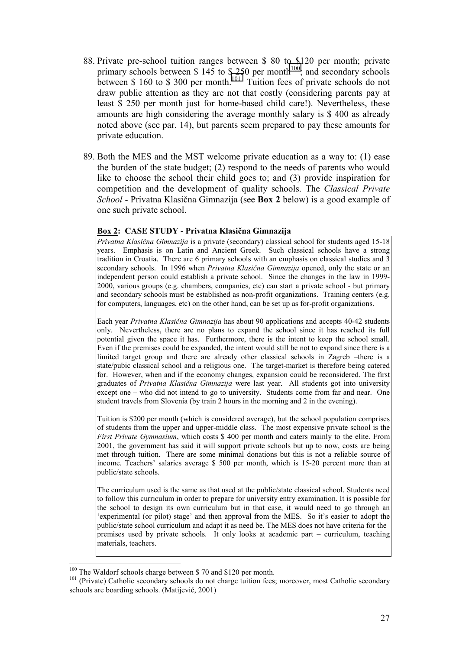- 88. Private pre-school tuition ranges between \$ 80 to \$120 per month; private primary schools between \$ 145 to \$ 250 per month<sup>100</sup>; and secondary schools between \$ 160 to \$ 300 per month.<sup>101</sup> Tuition fees of private schools do not draw public attention as they are not that costly (considering parents pay at least \$ 250 per month just for home-based child care!). Nevertheless, these amounts are high considering the average monthly salary is \$ 400 as already noted above (see par. 14), but parents seem prepared to pay these amounts for private education.
- 89. Both the MES and the MST welcome private education as a way to: (1) ease the burden of the state budget; (2) respond to the needs of parents who would like to choose the school their child goes to; and (3) provide inspiration for competition and the development of quality schools. The *Classical Private School* - Privatna Klasična Gimnazija (see **Box 2** below) is a good example of one such private school.

## **Box 2: CASE STUDY - Privatna Klasična Gimnazija**

*Privatna Klasična Gimnazija* is a private (secondary) classical school for students aged 15-18 years. Emphasis is on Latin and Ancient Greek. Such classical schools have a strong tradition in Croatia. There are 6 primary schools with an emphasis on classical studies and 3 secondary schools. In 1996 when *Privatna Klasična Gimnazija* opened, only the state or an independent person could establish a private school. Since the changes in the law in 1999- 2000, various groups (e.g. chambers, companies, etc) can start a private school - but primary and secondary schools must be established as non-profit organizations. Training centers (e.g. for computers, languages, etc) on the other hand, can be set up as for-profit organizations.

Each year *Privatna Klasična Gimnazija* has about 90 applications and accepts 40-42 students only. Nevertheless, there are no plans to expand the school since it has reached its full potential given the space it has. Furthermore, there is the intent to keep the school small. Even if the premises could be expanded, the intent would still be not to expand since there is a limited target group and there are already other classical schools in Zagreb – there is a state/pubic classical school and a religious one. The target-market is therefore being catered for. However, when and if the economy changes, expansion could be reconsidered. The first graduates of *Privatna Klasična Gimnazija* were last year. All students got into university except one  $-$  who did not intend to go to university. Students come from far and near. One student travels from Slovenia (by train 2 hours in the morning and 2 in the evening).

Tuition is \$200 per month (which is considered average), but the school population comprises of students from the upper and upper-middle class. The most expensive private school is the *First Private Gymnasium*, which costs \$ 400 per month and caters mainly to the elite. From 2001, the government has said it will support private schools but up to now, costs are being met through tuition. There are some minimal donations but this is not a reliable source of income. Teachers' salaries average \$ 500 per month, which is 15-20 percent more than at public/state schools.

The curriculum used is the same as that used at the public/state classical school. Students need to follow this curriculum in order to prepare for university entry examination. It is possible for the school to design its own curriculum but in that case, it would need to go through an experimental (or pilot) stage' and then approval from the MES. So it's easier to adopt the public/state school curriculum and adapt it as need be. The MES does not have criteria for the premises used by private schools. It only looks at academic part  $-$  curriculum, teaching materials, teachers.

<sup>&</sup>lt;sup>100</sup> The Waldorf schools charge between \$ 70 and \$120 per month.<br><sup>101</sup> (Private) Catholic secondary schools do not charge tuition fees; moreover, most Catholic secondary schools are boarding schools. (Matijević, 2001)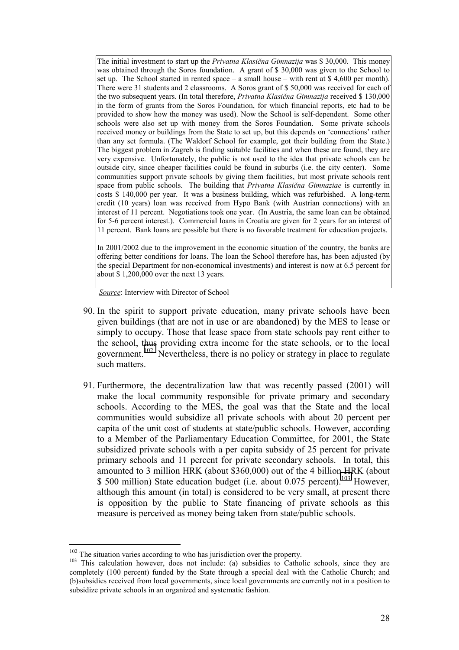The initial investment to start up the *Privatna Klasična Gimnazija* was \$ 30,000. This money was obtained through the Soros foundation. A grant of \$ 30,000 was given to the School to set up. The School started in rented space  $-$  a small house  $-$  with rent at \$ 4,600 per month). There were 31 students and 2 classrooms. A Soros grant of \$ 50,000 was received for each of the two subsequent years. (In total therefore, *Privatna Klasična Gimnazija* received \$ 130,000 in the form of grants from the Soros Foundation, for which financial reports, etc had to be provided to show how the money was used). Now the School is self-dependent. Some other schools were also set up with money from the Soros Foundation. Some private schools received money or buildings from the State to set up, but this depends on 'connections' rather than any set formula. (The Waldorf School for example, got their building from the State.) The biggest problem in Zagreb is finding suitable facilities and when these are found, they are very expensive. Unfortunately, the public is not used to the idea that private schools can be outside city, since cheaper facilities could be found in suburbs (i.e. the city center). Some communities support private schools by giving them facilities, but most private schools rent space from public schools. The building that *Privatna Klasična Gimnaziae* is currently in costs \$ 140,000 per year. It was a business building, which was refurbished. A long-term credit (10 years) loan was received from Hypo Bank (with Austrian connections) with an interest of 11 percent. Negotiations took one year. (In Austria, the same loan can be obtained for 5-6 percent interest.). Commercial loans in Croatia are given for 2 years for an interest of 11 percent. Bank loans are possible but there is no favorable treatment for education projects.

In 2001/2002 due to the improvement in the economic situation of the country, the banks are offering better conditions for loans. The loan the School therefore has, has been adjusted (by the special Department for non-economical investments) and interest is now at 6.5 percent for about \$ 1,200,000 over the next 13 years.

*Source*: Interview with Director of School

- 90. In the spirit to support private education, many private schools have been given buildings (that are not in use or are abandoned) by the MES to lease or simply to occupy. Those that lease space from state schools pay rent either to the school, thus providing extra income for the state schools, or to the local government.<sup>102</sup> Nevertheless, there is no policy or strategy in place to regulate such matters.
- 91. Furthermore, the decentralization law that was recently passed (2001) will make the local community responsible for private primary and secondary schools. According to the MES, the goal was that the State and the local communities would subsidize all private schools with about 20 percent per capita of the unit cost of students at state/public schools. However, according to a Member of the Parliamentary Education Committee, for 2001, the State subsidized private schools with a per capita subsidy of 25 percent for private primary schools and 11 percent for private secondary schools. In total, this amounted to 3 million HRK (about \$360,000) out of the 4 billion HRK (about \$ 500 million) State education budget (i.e. about 0.075 percent).<sup>103</sup> However, although this amount (in total) is considered to be very small, at present there is opposition by the public to State financing of private schools as this measure is perceived as money being taken from state/public schools.

 $102$  The situation varies according to who has jurisdiction over the property.<br><sup>103</sup> This calculation however, does not include: (a) subsidies to Catholic schools, since they are completely (100 percent) funded by the State through a special deal with the Catholic Church; and (b)subsidies received from local governments, since local governments are currently not in a position to subsidize private schools in an organized and systematic fashion.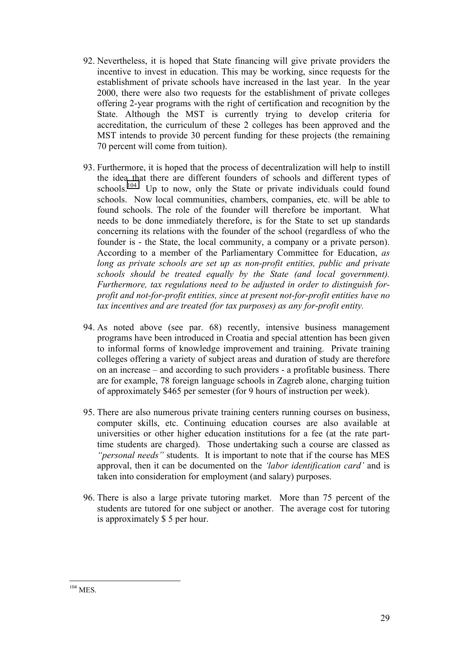- 92. Nevertheless, it is hoped that State financing will give private providers the incentive to invest in education. This may be working, since requests for the establishment of private schools have increased in the last year. In the year 2000, there were also two requests for the establishment of private colleges offering 2-year programs with the right of certification and recognition by the State. Although the MST is currently trying to develop criteria for accreditation, the curriculum of these 2 colleges has been approved and the MST intends to provide 30 percent funding for these projects (the remaining 70 percent will come from tuition).
- 93. Furthermore, it is hoped that the process of decentralization will help to instill the idea that there are different founders of schools and different types of schools.<sup>104</sup> Up to now, only the State or private individuals could found schools. Now local communities, chambers, companies, etc. will be able to found schools. The role of the founder will therefore be important. What needs to be done immediately therefore, is for the State to set up standards concerning its relations with the founder of the school (regardless of who the founder is - the State, the local community, a company or a private person). According to a member of the Parliamentary Committee for Education, *as long as private schools are set up as non-profit entities, public and private schools should be treated equally by the State (and local government). Furthermore, tax regulations need to be adjusted in order to distinguish forprofit and not-for-profit entities, since at present not-for-profit entities have no tax incentives and are treated (for tax purposes) as any for-profit entity.*
- 94. As noted above (see par. 68) recently, intensive business management programs have been introduced in Croatia and special attention has been given to informal forms of knowledge improvement and training. Private training colleges offering a variety of subject areas and duration of study are therefore on an increase  $-$  and according to such providers  $-$  a profitable business. There are for example, 78 foreign language schools in Zagreb alone, charging tuition of approximately \$465 per semester (for 9 hours of instruction per week).
- 95. There are also numerous private training centers running courses on business, computer skills, etc. Continuing education courses are also available at universities or other higher education institutions for a fee (at the rate parttime students are charged). Those undertaking such a course are classed as *<sup>''personal needs''* students. It is important to note that if the course has MES</sup> approval, then it can be documented on the *'labor identification card'* and is taken into consideration for employment (and salary) purposes.
- 96. There is also a large private tutoring market. More than 75 percent of the students are tutored for one subject or another. The average cost for tutoring is approximately \$ 5 per hour.

 $\overline{a}$  $104$  MES.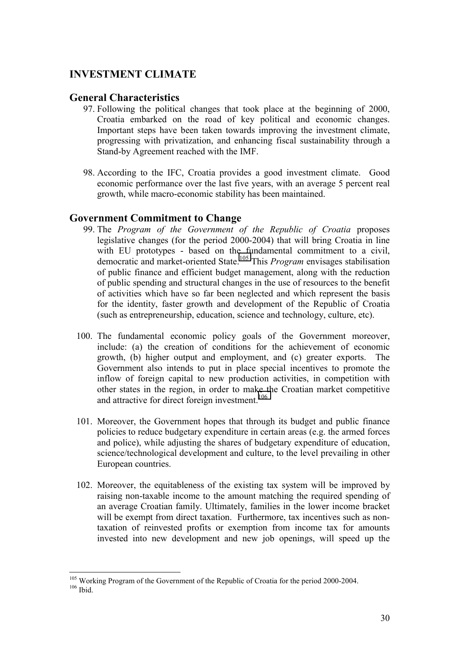## **INVESTMENT CLIMATE**

## **General Characteristics**

- 97. Following the political changes that took place at the beginning of 2000, Croatia embarked on the road of key political and economic changes. Important steps have been taken towards improving the investment climate, progressing with privatization, and enhancing fiscal sustainability through a Stand-by Agreement reached with the IMF.
- 98. According to the IFC, Croatia provides a good investment climate. Good economic performance over the last five years, with an average 5 percent real growth, while macro-economic stability has been maintained.

## **Government Commitment to Change**

- 99. The *Program of the Government of the Republic of Croatia* proposes legislative changes (for the period 2000-2004) that will bring Croatia in line with EU prototypes - based on the fundamental commitment to a civil, democratic and market-oriented State.105 This *Program* envisages stabilisation of public finance and efficient budget management, along with the reduction of public spending and structural changes in the use of resources to the benefit of activities which have so far been neglected and which represent the basis for the identity, faster growth and development of the Republic of Croatia (such as entrepreneurship, education, science and technology, culture, etc).
- 100. The fundamental economic policy goals of the Government moreover, include: (a) the creation of conditions for the achievement of economic growth, (b) higher output and employment, and (c) greater exports. The Government also intends to put in place special incentives to promote the inflow of foreign capital to new production activities, in competition with other states in the region, in order to make the Croatian market competitive and attractive for direct foreign investment.<sup>106</sup>
- 101. Moreover, the Government hopes that through its budget and public finance policies to reduce budgetary expenditure in certain areas (e.g. the armed forces and police), while adjusting the shares of budgetary expenditure of education, science/technological development and culture, to the level prevailing in other European countries.
- 102. Moreover, the equitableness of the existing tax system will be improved by raising non-taxable income to the amount matching the required spending of an average Croatian family. Ultimately, families in the lower income bracket will be exempt from direct taxation. Furthermore, tax incentives such as nontaxation of reinvested profits or exemption from income tax for amounts invested into new development and new job openings, will speed up the

 $\overline{a}$ <sup>105</sup> Working Program of the Government of the Republic of Croatia for the period 2000-2004.<br><sup>106</sup> Ibid.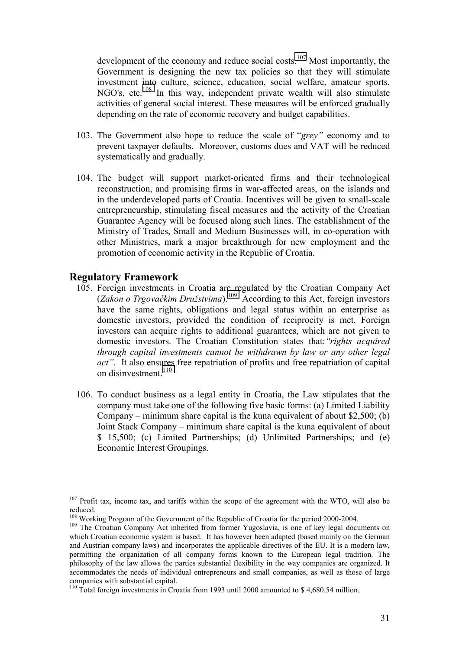development of the economy and reduce social costs.<sup>107</sup> Most importantly, the Government is designing the new tax policies so that they will stimulate investment into culture, science, education, social welfare, amateur sports, NGO's, etc.<sup>108</sup> In this way, independent private wealth will also stimulate activities of general social interest. These measures will be enforced gradually depending on the rate of economic recovery and budget capabilities.

- 103. The Government also hope to reduce the scale of *"grey"* economy and to prevent taxpayer defaults. Moreover, customs dues and VAT will be reduced systematically and gradually.
- 104. The budget will support market-oriented firms and their technological reconstruction, and promising firms in war-affected areas, on the islands and in the underdeveloped parts of Croatia. Incentives will be given to small-scale entrepreneurship, stimulating fiscal measures and the activity of the Croatian Guarantee Agency will be focused along such lines. The establishment of the Ministry of Trades, Small and Medium Businesses will, in co-operation with other Ministries, mark a major breakthrough for new employment and the promotion of economic activity in the Republic of Croatia.

## **Regulatory Framework**

- 105. Foreign investments in Croatia are regulated by the Croatian Company Act (*Zakon o Trgovaćkim Druûstvima*).109 According to this Act, foreign investors have the same rights, obligations and legal status within an enterprise as domestic investors, provided the condition of reciprocity is met. Foreign investors can acquire rights to additional guarantees, which are not given to domestic investors. The Croatian Constitution states that:*ìrights acquired through capital investments cannot be withdrawn by law or any other legal act*". It also ensures free repatriation of profits and free repatriation of capital on disinvestment.<sup>110</sup>
- 106. To conduct business as a legal entity in Croatia, the Law stipulates that the company must take one of the following five basic forms: (a) Limited Liability Company – minimum share capital is the kuna equivalent of about \$2,500; (b) Joint Stack Company – minimum share capital is the kuna equivalent of about \$ 15,500; (c) Limited Partnerships; (d) Unlimited Partnerships; and (e) Economic Interest Groupings.

 $107$  Profit tax, income tax, and tariffs within the scope of the agreement with the WTO, will also be reduced.

<sup>&</sup>lt;sup>108</sup> Working Program of the Government of the Republic of Croatia for the period 2000-2004.<br><sup>109</sup> The Croatian Company Act inherited from former Yugoslavia, is one of key legal documents on which Croatian economic system is based. It has however been adapted (based mainly on the German and Austrian company laws) and incorporates the applicable directives of the EU. It is a modern law, permitting the organization of all company forms known to the European legal tradition. The philosophy of the law allows the parties substantial flexibility in the way companies are organized. It accommodates the needs of individual entrepreneurs and small companies, as well as those of large companies with substantial capital.

<sup>&</sup>lt;sup>110</sup> Total foreign investments in Croatia from 1993 until 2000 amounted to \$4,680.54 million.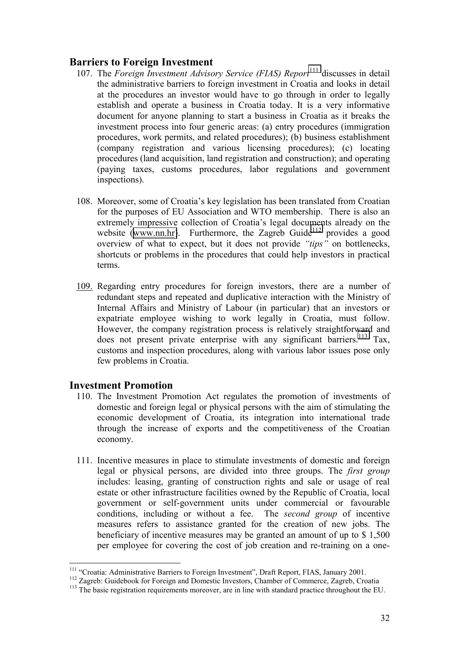## **Barriers to Foreign Investment**

- 107. The *Foreign Investment Advisory Service (FIAS) Report*<sup>111</sup> discusses in detail the administrative barriers to foreign investment in Croatia and looks in detail at the procedures an investor would have to go through in order to legally establish and operate a business in Croatia today. It is a very informative document for anyone planning to start a business in Croatia as it breaks the investment process into four generic areas: (a) entry procedures (immigration procedures, work permits, and related procedures); (b) business establishment (company registration and various licensing procedures); (c) locating procedures (land acquisition, land registration and construction); and operating (paying taxes, customs procedures, labor regulations and government inspections).
- 108. Moreover, some of Croatiaís key legislation has been translated from Croatian for the purposes of EU Association and WTO membership. There is also an extremely impressive collection of Croatia's legal documents already on the website ([www.nn.hr\)](http://www.nn.hr/). Furthermore, the Zagreb Guide<sup>112</sup> provides a good overview of what to expect, but it does not provide *"tips*" on bottlenecks, shortcuts or problems in the procedures that could help investors in practical terms.
- 109. Regarding entry procedures for foreign investors, there are a number of redundant steps and repeated and duplicative interaction with the Ministry of Internal Affairs and Ministry of Labour (in particular) that an investors or expatriate employee wishing to work legally in Croatia, must follow. However, the company registration process is relatively straightforward and does not present private enterprise with any significant barriers.<sup>113</sup> Tax, customs and inspection procedures, along with various labor issues pose only few problems in Croatia.

## **Investment Promotion**

- 110. The Investment Promotion Act regulates the promotion of investments of domestic and foreign legal or physical persons with the aim of stimulating the economic development of Croatia, its integration into international trade through the increase of exports and the competitiveness of the Croatian economy.
- 111. Incentive measures in place to stimulate investments of domestic and foreign legal or physical persons, are divided into three groups. The *first group* includes: leasing, granting of construction rights and sale or usage of real estate or other infrastructure facilities owned by the Republic of Croatia, local government or self-government units under commercial or favourable conditions, including or without a fee. The *second group* of incentive measures refers to assistance granted for the creation of new jobs. The beneficiary of incentive measures may be granted an amount of up to \$ 1,500 per employee for covering the cost of job creation and re-training on a one-

<sup>&</sup>lt;sup>111</sup> "Croatia: Administrative Barriers to Foreign Investment", Draft Report, FIAS, January 2001.

<sup>&</sup>lt;sup>112</sup> Zagreb: Guidebook for Foreign and Domestic Investors, Chamber of Commerce, Zagreb, Croatia<sup>113</sup> The basic registration requirements moreover, are in line with standard practice throughout the EU.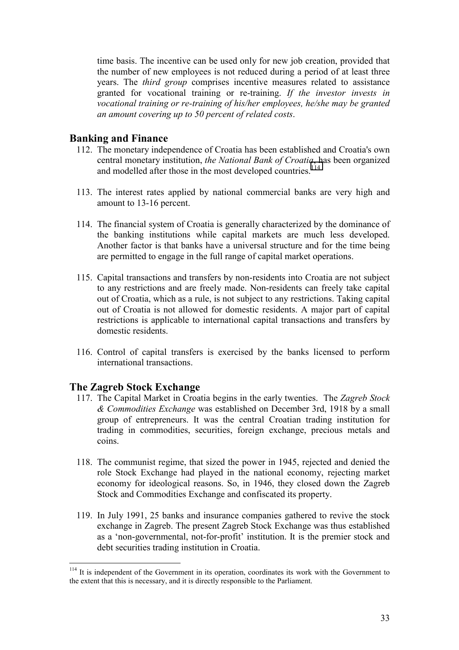time basis. The incentive can be used only for new job creation, provided that the number of new employees is not reduced during a period of at least three years. The *third group* comprises incentive measures related to assistance granted for vocational training or re-training. *If the investor invests in vocational training or re-training of his/her employees, he/she may be granted an amount covering up to 50 percent of related costs*.

## **Banking and Finance**

- 112. The monetary independence of Croatia has been established and Croatia's own central monetary institution, *the National Bank of Croatia*, has been organized and modelled after those in the most developed countries.<sup>114</sup>
- 113. The interest rates applied by national commercial banks are very high and amount to 13-16 percent.
- 114. The financial system of Croatia is generally characterized by the dominance of the banking institutions while capital markets are much less developed. Another factor is that banks have a universal structure and for the time being are permitted to engage in the full range of capital market operations.
- 115. Capital transactions and transfers by non-residents into Croatia are not subject to any restrictions and are freely made. Non-residents can freely take capital out of Croatia, which as a rule, is not subject to any restrictions. Taking capital out of Croatia is not allowed for domestic residents. A major part of capital restrictions is applicable to international capital transactions and transfers by domestic residents.
- 116. Control of capital transfers is exercised by the banks licensed to perform international transactions.

## **The Zagreb Stock Exchange**

- 117. The Capital Market in Croatia begins in the early twenties. The *Zagreb Stock & Commodities Exchange* was established on December 3rd, 1918 by a small group of entrepreneurs. It was the central Croatian trading institution for trading in commodities, securities, foreign exchange, precious metals and coins.
- 118. The communist regime, that sized the power in 1945, rejected and denied the role Stock Exchange had played in the national economy, rejecting market economy for ideological reasons. So, in 1946, they closed down the Zagreb Stock and Commodities Exchange and confiscated its property.
- 119. In July 1991, 25 banks and insurance companies gathered to revive the stock exchange in Zagreb. The present Zagreb Stock Exchange was thus established as a 'non-governmental, not-for-profit' institution. It is the premier stock and debt securities trading institution in Croatia.

 $114$  It is independent of the Government in its operation, coordinates its work with the Government to the extent that this is necessary, and it is directly responsible to the Parliament.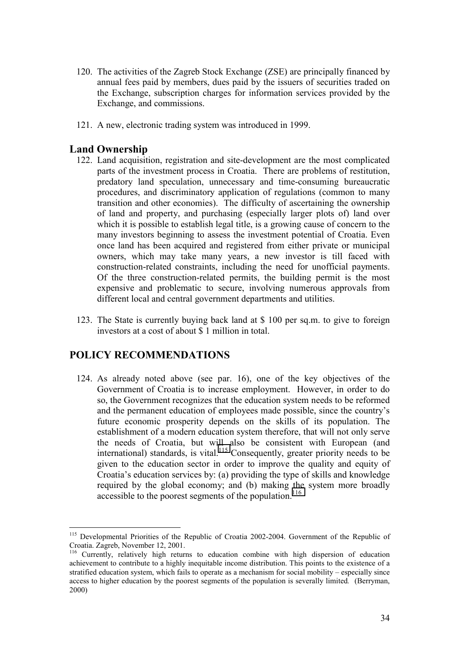- 120. The activities of the Zagreb Stock Exchange (ZSE) are principally financed by annual fees paid by members, dues paid by the issuers of securities traded on the Exchange, subscription charges for information services provided by the Exchange, and commissions.
- 121. A new, electronic trading system was introduced in 1999.

## **Land Ownership**

- 122. Land acquisition, registration and site-development are the most complicated parts of the investment process in Croatia. There are problems of restitution, predatory land speculation, unnecessary and time-consuming bureaucratic procedures, and discriminatory application of regulations (common to many transition and other economies). The difficulty of ascertaining the ownership of land and property, and purchasing (especially larger plots of) land over which it is possible to establish legal title, is a growing cause of concern to the many investors beginning to assess the investment potential of Croatia. Even once land has been acquired and registered from either private or municipal owners, which may take many years, a new investor is till faced with construction-related constraints, including the need for unofficial payments. Of the three construction-related permits, the building permit is the most expensive and problematic to secure, involving numerous approvals from different local and central government departments and utilities.
- 123. The State is currently buying back land at \$ 100 per sq.m. to give to foreign investors at a cost of about \$ 1 million in total.

## **POLICY RECOMMENDATIONS**

124. As already noted above (see par. 16), one of the key objectives of the Government of Croatia is to increase employment. However, in order to do so, the Government recognizes that the education system needs to be reformed and the permanent education of employees made possible, since the country's future economic prosperity depends on the skills of its population. The establishment of a modern education system therefore, that will not only serve the needs of Croatia, but will also be consistent with European (and international) standards, is vital.<sup>115</sup> Consequently, greater priority needs to be given to the education sector in order to improve the quality and equity of Croatiaís education services by: (a) providing the type of skills and knowledge required by the global economy; and (b) making the system more broadly accessible to the poorest segments of the population.<sup>116</sup>

 $\overline{a}$ <sup>115</sup> Developmental Priorities of the Republic of Croatia 2002-2004. Government of the Republic of Croatia. Zagreb, November 12, 2001.

<sup>116</sup> Currently, relatively high returns to education combine with high dispersion of education achievement to contribute to a highly inequitable income distribution. This points to the existence of a stratified education system, which fails to operate as a mechanism for social mobility  $-$  especially since access to higher education by the poorest segments of the population is severally limited*.* (Berryman, 2000)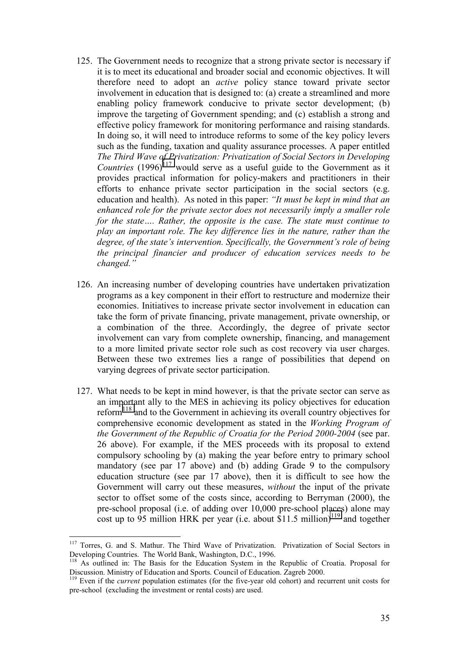- 125. The Government needs to recognize that a strong private sector is necessary if it is to meet its educational and broader social and economic objectives. It will therefore need to adopt an *active* policy stance toward private sector involvement in education that is designed to: (a) create a streamlined and more enabling policy framework conducive to private sector development; (b) improve the targeting of Government spending; and (c) establish a strong and effective policy framework for monitoring performance and raising standards. In doing so, it will need to introduce reforms to some of the key policy levers such as the funding, taxation and quality assurance processes. A paper entitled *The Third Wave of Privatization: Privatization of Social Sectors in Developing* **Countries** (1996)<sup>117</sup> would serve as a useful guide to the Government as it provides practical information for policy-makers and practitioners in their efforts to enhance private sector participation in the social sectors (e.g. education and health). As noted in this paper: *''It must be kept in mind that an enhanced role for the private sector does not necessarily imply a smaller role for the state.... Rather, the opposite is the case. The state must continue to play an important role. The key difference lies in the nature, rather than the degree, of the state's intervention. Specifically, the Government's role of being the principal financier and producer of education services needs to be changed.î*
- 126. An increasing number of developing countries have undertaken privatization programs as a key component in their effort to restructure and modernize their economies. Initiatives to increase private sector involvement in education can take the form of private financing, private management, private ownership, or a combination of the three. Accordingly, the degree of private sector involvement can vary from complete ownership, financing, and management to a more limited private sector role such as cost recovery via user charges. Between these two extremes lies a range of possibilities that depend on varying degrees of private sector participation.
- 127. What needs to be kept in mind however, is that the private sector can serve as an important ally to the MES in achieving its policy objectives for education reform118 and to the Government in achieving its overall country objectives for comprehensive economic development as stated in the *Working Program of the Government of the Republic of Croatia for the Period 2000-2004* (see par. 26 above). For example, if the MES proceeds with its proposal to extend compulsory schooling by (a) making the year before entry to primary school mandatory (see par 17 above) and (b) adding Grade 9 to the compulsory education structure (see par 17 above), then it is difficult to see how the Government will carry out these measures, *without* the input of the private sector to offset some of the costs since, according to Berryman (2000), the pre-school proposal (i.e. of adding over 10,000 pre-school places) alone may cost up to 95 million HRK per year (i.e. about \$11.5 million)<sup>119</sup> and together

<sup>&</sup>lt;sup>117</sup> Torres, G. and S. Mathur. The Third Wave of Privatization. Privatization of Social Sectors in Developing Countries. The World Bank, Washington, D.C., 1996.

<sup>&</sup>lt;sup>118</sup> As outlined in: The Basis for the Education System in the Republic of Croatia. Proposal for Discussion. Ministry of Education and Sports. Council of Education. Zagreb 2000.

<sup>&</sup>lt;sup>119</sup> Even if the *current* population estimates (for the five-year old cohort) and recurrent unit costs for pre-school (excluding the investment or rental costs) are used.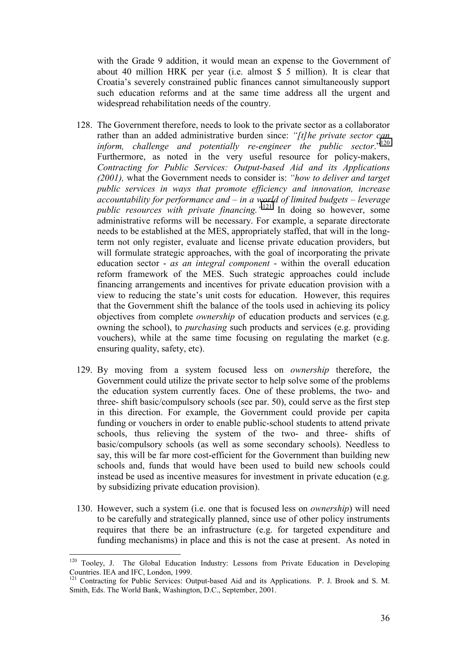with the Grade 9 addition, it would mean an expense to the Government of about 40 million HRK per year (i.e. almost \$ 5 million). It is clear that Croatiaís severely constrained public finances cannot simultaneously support such education reforms and at the same time address all the urgent and widespread rehabilitation needs of the country.

- 128. The Government therefore, needs to look to the private sector as a collaborator rather than an added administrative burden since: *''[t]he private sector can inform, challenge and potentially re-engineer the public sector.*<sup>"120</sup> Furthermore, as noted in the very useful resource for policy-makers, *Contracting for Public Services: Output-based Aid and its Applications (2001),* what the Government needs to consider is: *ìhow to deliver and target public services in ways that promote efficiency and innovation, increase accountability for performance and – in a world of limited budgets – leverage public resources with private financing.*<sup>121</sup> In doing so however, some administrative reforms will be necessary. For example, a separate directorate needs to be established at the MES, appropriately staffed, that will in the longterm not only register, evaluate and license private education providers, but will formulate strategic approaches, with the goal of incorporating the private education sector - *as an integral component* - within the overall education reform framework of the MES. Such strategic approaches could include financing arrangements and incentives for private education provision with a view to reducing the state's unit costs for education. However, this requires that the Government shift the balance of the tools used in achieving its policy objectives from complete *ownership* of education products and services (e.g. owning the school), to *purchasing* such products and services (e.g. providing vouchers), while at the same time focusing on regulating the market (e.g. ensuring quality, safety, etc).
- 129. By moving from a system focused less on *ownership* therefore, the Government could utilize the private sector to help solve some of the problems the education system currently faces. One of these problems, the two- and three- shift basic/compulsory schools (see par. 50), could serve as the first step in this direction. For example, the Government could provide per capita funding or vouchers in order to enable public-school students to attend private schools, thus relieving the system of the two- and three- shifts of basic/compulsory schools (as well as some secondary schools). Needless to say, this will be far more cost-efficient for the Government than building new schools and, funds that would have been used to build new schools could instead be used as incentive measures for investment in private education (e.g. by subsidizing private education provision).
- 130. However, such a system (i.e. one that is focused less on *ownership*) will need to be carefully and strategically planned, since use of other policy instruments requires that there be an infrastructure (e.g. for targeted expenditure and funding mechanisms) in place and this is not the case at present. As noted in

<sup>&</sup>lt;sup>120</sup> Tooley, J. The Global Education Industry: Lessons from Private Education in Developing Countries. IEA and IFC, London, 1999.

<sup>&</sup>lt;sup>121</sup> Contracting for Public Services: Output-based Aid and its Applications. P. J. Brook and S. M. Smith, Eds. The World Bank, Washington, D.C., September, 2001.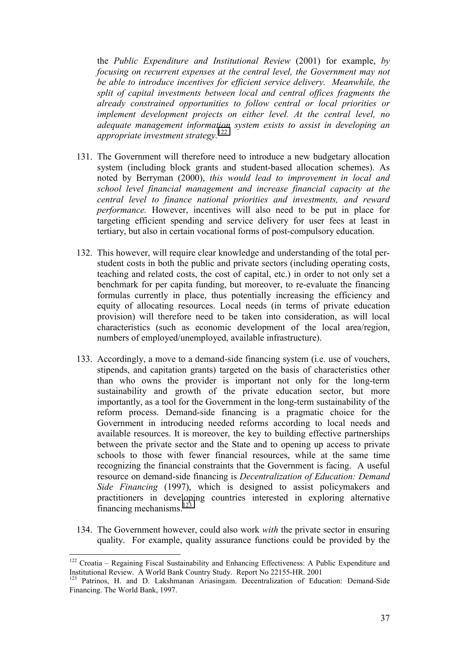the *Public Expenditure and Institutional Review* (2001) for example, *by focusing on recurrent expenses at the central level, the Government may not be able to introduce incentives for efficient service delivery. Meanwhile, the split of capital investments between local and central offices fragments the already constrained opportunities to follow central or local priorities or implement development projects on either level. At the central level, no adequate management information system exists to assist in developing an appropriate investment strategy.*<sup>122</sup>

- 131. The Government will therefore need to introduce a new budgetary allocation system (including block grants and student-based allocation schemes). As noted by Berryman (2000), *this would lead to improvement in local and school level financial management and increase financial capacity at the central level to finance national priorities and investments, and reward performance.* However, incentives will also need to be put in place for targeting efficient spending and service delivery for user fees at least in tertiary, but also in certain vocational forms of post-compulsory education.
- 132. This however, will require clear knowledge and understanding of the total perstudent costs in both the public and private sectors (including operating costs, teaching and related costs, the cost of capital, etc.) in order to not only set a benchmark for per capita funding, but moreover, to re-evaluate the financing formulas currently in place, thus potentially increasing the efficiency and equity of allocating resources. Local needs (in terms of private education provision) will therefore need to be taken into consideration, as will local characteristics (such as economic development of the local area/region, numbers of employed/unemployed, available infrastructure).
- 133. Accordingly, a move to a demand-side financing system (i.e. use of vouchers, stipends, and capitation grants) targeted on the basis of characteristics other than who owns the provider is important not only for the long-term sustainability and growth of the private education sector, but more importantly, as a tool for the Government in the long-term sustainability of the reform process. Demand-side financing is a pragmatic choice for the Government in introducing needed reforms according to local needs and available resources. It is moreover, the key to building effective partnerships between the private sector and the State and to opening up access to private schools to those with fewer financial resources, while at the same time recognizing the financial constraints that the Government is facing. A useful resource on demand-side financing is *Decentralization of Education: Demand Side Financing* (1997), which is designed to assist policymakers and practitioners in developing countries interested in exploring alternative financing mechanisms. $123$
- 134. The Government however, could also work *with* the private sector in ensuring quality. For example, quality assurance functions could be provided by the

 $\overline{a}$  $122$  Croatia – Regaining Fiscal Sustainability and Enhancing Effectiveness: A Public Expenditure and Institutional Review. A World Bank Country Study. Report No 22155-HR. 2001

<sup>&</sup>lt;sup>123</sup> Patrinos, H. and D. Lakshmanan Ariasingam. Decentralization of Education: Demand-Side Financing. The World Bank, 1997.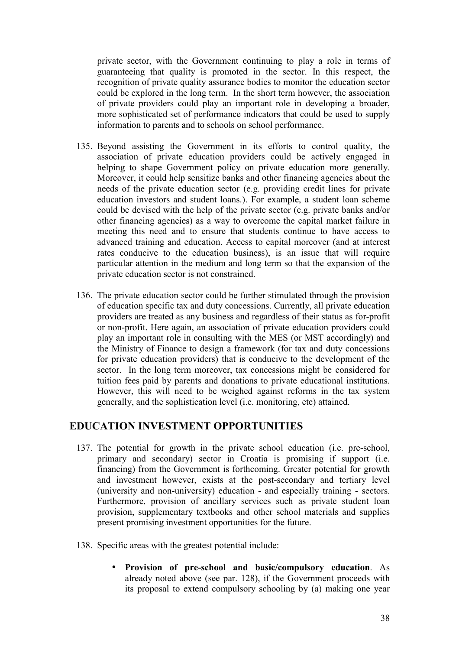private sector, with the Government continuing to play a role in terms of guaranteeing that quality is promoted in the sector. In this respect, the recognition of private quality assurance bodies to monitor the education sector could be explored in the long term. In the short term however, the association of private providers could play an important role in developing a broader, more sophisticated set of performance indicators that could be used to supply information to parents and to schools on school performance.

- 135. Beyond assisting the Government in its efforts to control quality, the association of private education providers could be actively engaged in helping to shape Government policy on private education more generally. Moreover, it could help sensitize banks and other financing agencies about the needs of the private education sector (e.g. providing credit lines for private education investors and student loans.). For example, a student loan scheme could be devised with the help of the private sector (e.g. private banks and/or other financing agencies) as a way to overcome the capital market failure in meeting this need and to ensure that students continue to have access to advanced training and education. Access to capital moreover (and at interest rates conducive to the education business), is an issue that will require particular attention in the medium and long term so that the expansion of the private education sector is not constrained.
- 136. The private education sector could be further stimulated through the provision of education specific tax and duty concessions. Currently, all private education providers are treated as any business and regardless of their status as for-profit or non-profit. Here again, an association of private education providers could play an important role in consulting with the MES (or MST accordingly) and the Ministry of Finance to design a framework (for tax and duty concessions for private education providers) that is conducive to the development of the sector. In the long term moreover, tax concessions might be considered for tuition fees paid by parents and donations to private educational institutions. However, this will need to be weighed against reforms in the tax system generally, and the sophistication level (i.e. monitoring, etc) attained.

## **EDUCATION INVESTMENT OPPORTUNITIES**

- 137. The potential for growth in the private school education (i.e. pre-school, primary and secondary) sector in Croatia is promising if support (i.e. financing) from the Government is forthcoming. Greater potential for growth and investment however, exists at the post-secondary and tertiary level (university and non-university) education - and especially training - sectors. Furthermore, provision of ancillary services such as private student loan provision, supplementary textbooks and other school materials and supplies present promising investment opportunities for the future.
- 138. Specific areas with the greatest potential include:
	- **Provision of pre-school and basic/compulsory education**. As already noted above (see par. 128), if the Government proceeds with its proposal to extend compulsory schooling by (a) making one year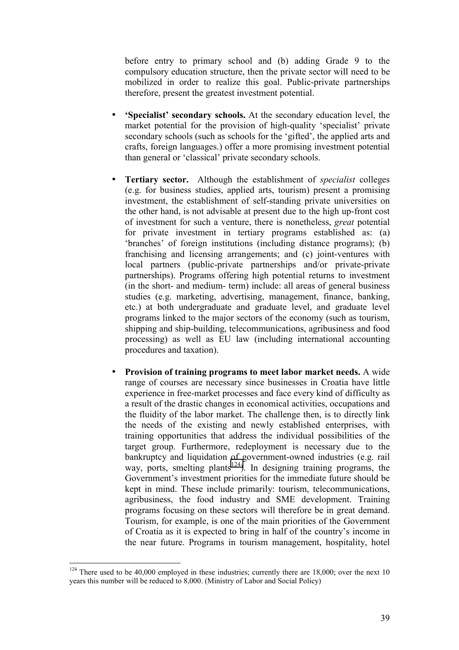before entry to primary school and (b) adding Grade 9 to the compulsory education structure, then the private sector will need to be mobilized in order to realize this goal. Public-private partnerships therefore, present the greatest investment potential.

- **Specialist' secondary schools.** At the secondary education level, the market potential for the provision of high-quality 'specialist' private secondary schools (such as schools for the 'gifted', the applied arts and crafts, foreign languages.) offer a more promising investment potential than general or 'classical' private secondary schools.
- **Tertiary sector.** Although the establishment of *specialist* colleges (e.g. for business studies, applied arts, tourism) present a promising investment, the establishment of self-standing private universities on the other hand, is not advisable at present due to the high up-front cost of investment for such a venture, there is nonetheless, *great* potential for private investment in tertiary programs established as: (a)  $\langle$  branches of foreign institutions (including distance programs); (b) franchising and licensing arrangements; and (c) joint-ventures with local partners (public-private partnerships and/or private-private partnerships). Programs offering high potential returns to investment (in the short- and medium- term) include: all areas of general business studies (e.g. marketing, advertising, management, finance, banking, etc.) at both undergraduate and graduate level, and graduate level programs linked to the major sectors of the economy (such as tourism, shipping and ship-building, telecommunications, agribusiness and food processing) as well as EU law (including international accounting procedures and taxation).
- **Provision of training programs to meet labor market needs.** A wide range of courses are necessary since businesses in Croatia have little experience in free-market processes and face every kind of difficulty as a result of the drastic changes in economical activities, occupations and the fluidity of the labor market. The challenge then, is to directly link the needs of the existing and newly established enterprises, with training opportunities that address the individual possibilities of the target group. Furthermore, redeployment is necessary due to the bankruptcy and liquidation of government-owned industries (e.g. rail way, ports, smelting plants<sup>124</sup>). In designing training programs, the Government's investment priorities for the immediate future should be kept in mind. These include primarily: tourism, telecommunications, agribusiness, the food industry and SME development. Training programs focusing on these sectors will therefore be in great demand. Tourism, for example, is one of the main priorities of the Government of Croatia as it is expected to bring in half of the country's income in the near future. Programs in tourism management, hospitality, hotel

 $124$  There used to be 40,000 employed in these industries; currently there are 18,000; over the next 10 years this number will be reduced to 8,000. (Ministry of Labor and Social Policy)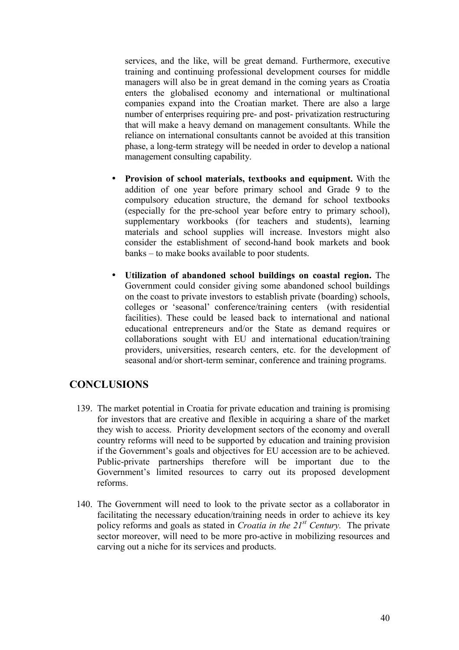services, and the like, will be great demand. Furthermore, executive training and continuing professional development courses for middle managers will also be in great demand in the coming years as Croatia enters the globalised economy and international or multinational companies expand into the Croatian market. There are also a large number of enterprises requiring pre- and post- privatization restructuring that will make a heavy demand on management consultants. While the reliance on international consultants cannot be avoided at this transition phase, a long-term strategy will be needed in order to develop a national management consulting capability.

- **Provision of school materials, textbooks and equipment.** With the addition of one year before primary school and Grade 9 to the compulsory education structure, the demand for school textbooks (especially for the pre-school year before entry to primary school), supplementary workbooks (for teachers and students), learning materials and school supplies will increase. Investors might also consider the establishment of second-hand book markets and book banks – to make books available to poor students.
- **Utilization of abandoned school buildings on coastal region.** The Government could consider giving some abandoned school buildings on the coast to private investors to establish private (boarding) schools, colleges or 'seasonal' conference/training centers (with residential facilities). These could be leased back to international and national educational entrepreneurs and/or the State as demand requires or collaborations sought with EU and international education/training providers, universities, research centers, etc. for the development of seasonal and/or short-term seminar, conference and training programs.

## **CONCLUSIONS**

- 139. The market potential in Croatia for private education and training is promising for investors that are creative and flexible in acquiring a share of the market they wish to access. Priority development sectors of the economy and overall country reforms will need to be supported by education and training provision if the Government's goals and objectives for EU accession are to be achieved. Public-private partnerships therefore will be important due to the Government's limited resources to carry out its proposed development reforms.
- 140. The Government will need to look to the private sector as a collaborator in facilitating the necessary education/training needs in order to achieve its key policy reforms and goals as stated in *Croatia in the 21st Century.* The private sector moreover, will need to be more pro-active in mobilizing resources and carving out a niche for its services and products.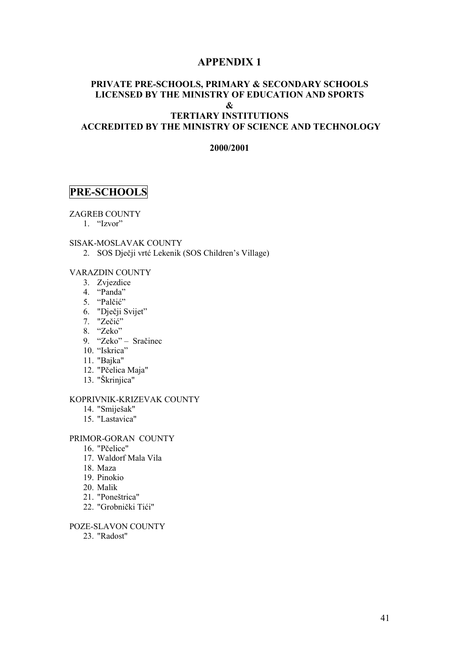## **APPENDIX 1**

## **PRIVATE PRE-SCHOOLS, PRIMARY & SECONDARY SCHOOLS LICENSED BY THE MINISTRY OF EDUCATION AND SPORTS &**

## **TERTIARY INSTITUTIONS ACCREDITED BY THE MINISTRY OF SCIENCE AND TECHNOLOGY**

#### **2000/2001**

## **PRE-SCHOOLS**

#### ZAGREB COUNTY

 $1.$  "Izvor"

#### SISAK-MOSLAVAK COUNTY

2. SOS Dječji vrtć Lekenik (SOS Children's Village)

#### VARAZDIN COUNTY

- 3. Zvjezdice
- 4.  $\alpha$ Panda"
- 5. "Palčić"
- 6. "Dječji Svijet"
- 7. "Zečić"
- 8. "Zeko"
- 9. "Zeko" Sračinec
- 10. "Iskrica"
- 11. "Bajka"
- 12. "Pčelica Maja"
- 13. "äkrinjica"

#### KOPRIVNIK-KRIZEVAK COUNTY

- 14. "Smijeöak"
- 15. "Lastavica"

#### PRIMOR-GORAN COUNTY

- 16. "Pčelice"
- 17. Waldorf Mala Vila
- 18. Maza
- 19. Pinokio
- 20. Malik
- 21. "Poneötrica"
- 22. "Grobnički Tići"

#### POZE-SLAVON COUNTY

23. "Radost"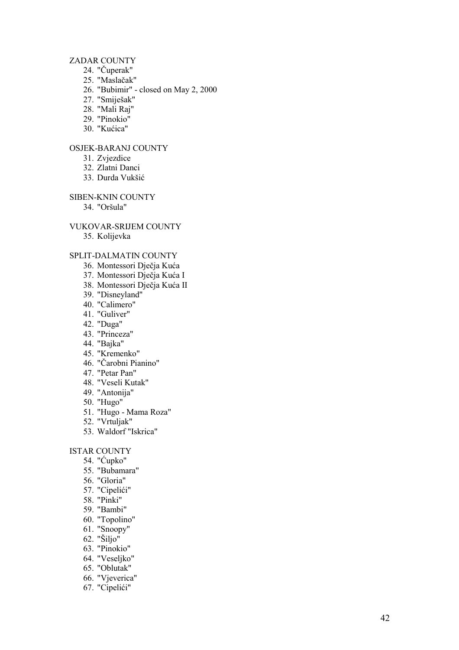## ZADAR COUNTY

- 24. " Čuperak"
- 25. "Masla čak"
- 26. "Bubimir" closed on May 2, 2000
- 27. "Smijeöak"
- 28. "Mali Raj"
- 29. "Pinokio"
- 30. "Ku ćica"

## OSJEK-BARANJ COUNTY

- 31. Zvjezdice
- 32. Zlatni Danci
- 33. Durda Vuköi ć

SIBEN-KNIN COUNTY

34. "Oröula"

#### VUKOVAR-SRIJEM COUNTY

35. Kolijevka

#### SPLIT-DALMATIN COUNTY

- 36. Montessori Dje čja Ku ć a
- 37. Montessori Dje čja Ku ća I
- 38. Montessori Dje čja Ku ća II
- 39. "Disneyland"
- 40. "Calimero"
- 41. "Guliver"
- 42. "Duga"
- 43. "Princeza"
- 44. "Bajka"
- 45. "Kremenko"
- 46. " Čarobni Pianino"
- 47. "Petar Pan"
- 48. "Veseli Kutak"
- 49. "Antonija"
- 50. "Hugo"
- 51. "Hugo Mama Roza"
- 52. "Vrtuljak"
- 53. Waldorf "Iskrica"

#### ISTAR COUNTY

- 54. " Ćupko"
- 55. "Bubamara"
- 56. "Gloria"
- 57. "Cipeli ći"
- 58. "Pinki"
- 59. "Bambi"
- 60. "Topolino"
- 61. "Snoopy"
- 62. "äiljo"
- 63. "Pinokio"
- 64. "Veseljko"
- 65. "Oblutak"
- 66. "Vjeverica"
- 
- 67. "Cipeli ći"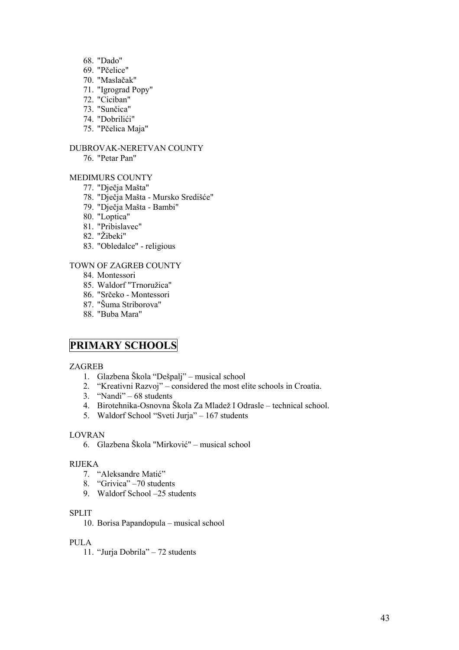- 68. "Dado"
- 69. "Pčelice"
- 70. "Maslačak"
- 71. "Igrograd Popy"
- 72. "Ciciban"
- 73. "Sunčica"
- 74. "Dobrilići"
- 75. "Pčelica Maja"

## DUBROVAK-NERETVAN COUNTY

76. "Petar Pan"

## MEDIMURS COUNTY

- 77. "Dječja Maöta"
- 78. "Dječja Maöta Mursko Srediöće"
- 79. "Dječja Maöta Bambi"
- 80. "Loptica"
- 81. "Pribislavec"
- 82. "Žibeki"
- 83. "Obledalce" religious

## TOWN OF ZAGREB COUNTY

- 84. Montessori
- 85. Waldorf "Trnoružica"
- 86. "Srčeko Montessori
- 87. "äuma Striborova"
- 88. "Buba Mara"

## **PRIMARY SCHOOLS**

#### ZAGREB

- 1. Glazbena Škola "Dešpalj" musical school
- 2. "Kreativni Razvoj" considered the most elite schools in Croatia.
- 3.  $\degree$ Nandi $\degree$  68 students
- 4. Birotehnika-Osnovna Škola Za Mladež I Odrasle technical school.
- 5. Waldorf School "Sveti Jurja" 167 students

### LOVRAN

6. Glazbena Škola "Mirković" – musical school

#### RIJEKA

- 7. "Aleksandre Matić"
- 8. "Grivica" -70 students
- 9. Waldorf School -25 students

#### SPLIT

10. Borisa Papandopula – musical school

## PULA

11. "Jurja Dobrila" - 72 students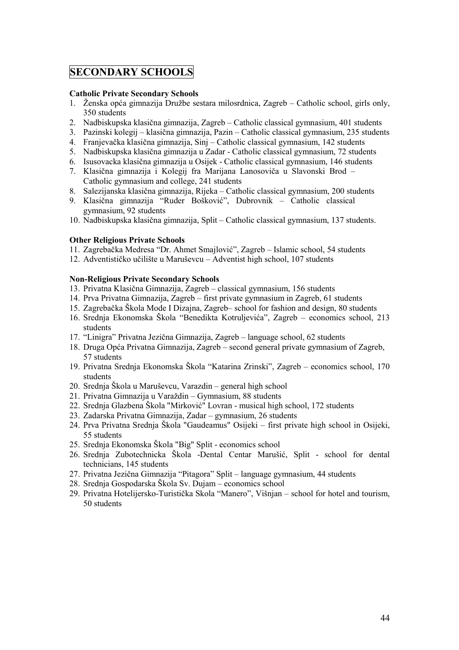## **SECONDARY SCHOOLS**

#### **Catholic Private Secondary Schools**

- 1. Ženska opća gimnazija Družbe sestara milosrdnica, Zagreb Catholic school, girls only, 350 students
- 2. Nadbiskupska klasična gimnazija, Zagreb Catholic classical gymnasium, 401 students
- 3. Pazinski kolegij klasična gimnazija, Pazin Catholic classical gymnasium, 235 students
- 4. Franjevačka klasična gimnazija, Sinj Catholic classical gymnasium, 142 students
- 5. Nadbiskupska klasična gimnazija u Zadar Catholic classical gymnasium, 72 students
- 6. Isusovacka klasična gimnazija u Osijek Catholic classical gymnasium, 146 students
- 7. Klasična gimnazija i Kolegij fra Marijana Lanosoviča u Slavonski Brod ñ Catholic gymnasium and college, 241 students
- 8. Salezijanska klasična gimnazija, Rijeka Catholic classical gymnasium, 200 students
- 9. Klasična gimnazija "Ruder Bošković", Dubrovnik Catholic classical gymnasium, 92 students
- 10. Nadbiskupska klasična gimnazija, Split Catholic classical gymnasium, 137 students.

## **Other Religious Private Schools**

- 11. Zagrebačka Medresa "Dr. Ahmet Smajlović", Zagreb Islamic school, 54 students
- 12. Adventističko učilište u Maruševcu Adventist high school, 107 students

## **Non-Religious Private Secondary Schools**

- 13. Privatna Klasična Gimnazija, Zagreb classical gymnasium, 156 students
- 14. Prva Privatna Gimnazija, Zagreb first private gymnasium in Zagreb, 61 students
- 15. Zagrebačka Škola Mode I Dizajna, Zagreb– school for fashion and design, 80 students
- 16. Srednja Ekonomska Škola "Benedikta Kotruljevića", Zagreb economics school, 213 students
- 17. "Linigra" Privatna Jezična Gimnazija, Zagreb language school, 62 students
- 18. Druga Opća Privatna Gimnazija, Zagreb second general private gymnasium of Zagreb, 57 students
- 19. Privatna Srednja Ekonomska Škola "Katarina Zrinski", Zagreb economics school, 170 students
- 20. Srednja Škola u Maruševcu, Varazdin general high school
- 21. Privatna Gimnazija u Varaždin Gymnasium, 88 students
- 22. Srednja Glazbena äkola "Mirković" Lovran musical high school, 172 students
- 23. Zadarska Privatna Gimnazija, Zadar gymnasium, 26 students
- 24. Prva Privatna Srednja Škola "Gaudeamus" Osijeki first private high school in Osijeki, 55 students
- 25. Srednja Ekonomska äkola "Big" Split economics school
- 26. Srednja Zubotechnicka äkola -Dental Centar Maruöić, Split school for dental technicians, 145 students
- 27. Privatna Jezična Gimnazija "Pitagora" Split language gymnasium, 44 students
- 28. Srednja Gospodarska Škola Sv. Dujam economics school
- 29. Privatna Hotelijersko-Turistička Skola "Manero", Višnjan school for hotel and tourism, 50 students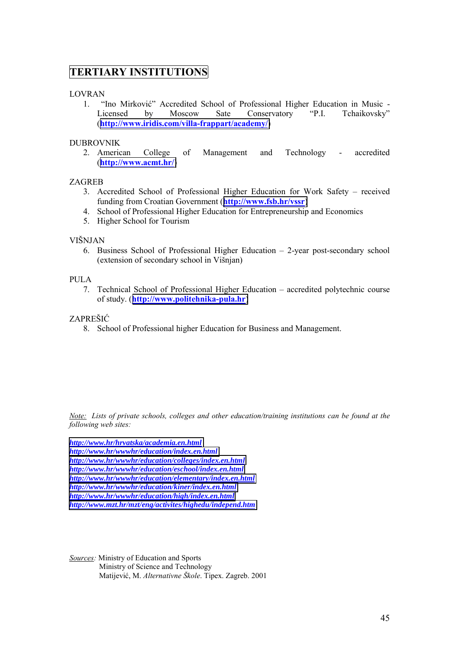## **TERTIARY INSTITUTIONS**

## LOVRAN

1. "Ino Mirković" Accredited School of Professional Higher Education in Music -Licensed by Moscow Sate Conservatory "P.I. Tchaikovsky" (**<http://www.iridis.com/villa-frappart/academy/>**)

## DUBROVNIK

2. American College of Management and Technology - accredited (**[http://www.acmt.hr/](http://www.acmt.ht/)**)

## ZAGREB

- 3. Accredited School of Professional Higher Education for Work Safety received funding from Croatian Government (**<http://www.fsb.hr/vssr>**)
- 4. School of Professional Higher Education for Entrepreneurship and Economics
- 5. Higher School for Tourism

## VIäNJAN

6. Business School of Professional Higher Education  $-2$ -year post-secondary school (extension of secondary school in Viönjan)

## PULA

7. Technical School of Professional Higher Education – accredited polytechnic course of study. (**[http://www.politehnika-pula.hr](http://www.politehnika-pula.hr/)**)

## ZAPREäIĆ

8. School of Professional higher Education for Business and Management.

*Note: Lists of private schools, colleges and other education/training institutions can be found at the following web sites:*

*<http://www.hr/hrvatska/academia.en.html> <http://www.hr/wwwhr/education/index.en.html> <http://www.hr/wwwhr/education/colleges/index.en.html> <http://www.hr/wwwhr/education/eschool/index.en.html> [http://www.hr/wwwhr/education/elementary/index.en.html](http://www.gr/wwwhr/education/elementary/index.en.html) <http://www.hr/wwwhr/education/kiner/index.en.html> <http://www.hr/wwwhr/education/high/index.en.html> <http://www.mzt.hr/mzt/eng/activites/highedu/independ.htm>*

*Sources:* Ministry of Education and Sports Ministry of Science and Technology Matijević, M. *Alternativne äkole*. Tipex. Zagreb. 2001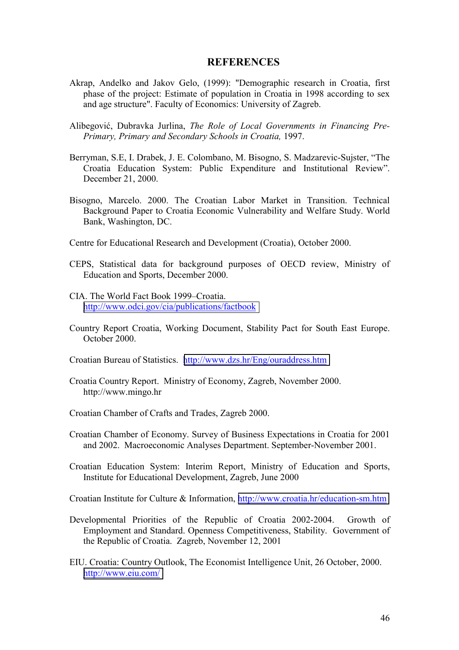## **REFERENCES**

- Akrap, Andelko and Jakov Gelo, (1999): "Demographic research in Croatia, first phase of the project: Estimate of population in Croatia in 1998 according to sex and age structure". Faculty of Economics: University of Zagreb.
- Alibegović, Dubravka Jurlina, *The Role of Local Governments in Financing Pre-Primary, Primary and Secondary Schools in Croatia,* 1997.
- Berryman, S.E, I. Drabek, J. E. Colombano, M. Bisogno, S. Madzarevic-Sujster, "The Croatia Education System: Public Expenditure and Institutional Review". December 21, 2000.
- Bisogno, Marcelo. 2000. The Croatian Labor Market in Transition. Technical Background Paper to Croatia Economic Vulnerability and Welfare Study. World Bank, Washington, DC.
- Centre for Educational Research and Development (Croatia), October 2000.
- CEPS, Statistical data for background purposes of OECD review, Ministry of Education and Sports, December 2000.
- CIA. The World Fact Book 1999–Croatia. [http://www.odci.gov/cia/publications/factbook](#page-5-0)
- Country Report Croatia, Working Document, Stability Pact for South East Europe. October 2000.
- Croatian Bureau of Statistics. <http://www.dzs.hr/Eng/ouraddress.htm>
- Croatia Country Report. Ministry of Economy, Zagreb, November 2000. http://www.mingo.hr
- Croatian Chamber of Crafts and Trades, Zagreb 2000.
- Croatian Chamber of Economy. Survey of Business Expectations in Croatia for 2001 and 2002. Macroeconomic Analyses Department. September-November 2001.
- Croatian Education System: Interim Report, Ministry of Education and Sports, Institute for Educational Development, Zagreb, June 2000

Croatian Institute for Culture & Information, [http://www.croatia.hr/education-sm.htm](#page-5-0)

- Developmental Priorities of the Republic of Croatia 2002-2004. Growth of Employment and Standard. Openness Competitiveness, Stability. Government of the Republic of Croatia. Zagreb, November 12, 2001
- EIU. Croatia: Country Outlook, The Economist Intelligence Unit, 26 October, 2000. <http://www.eiu.com/>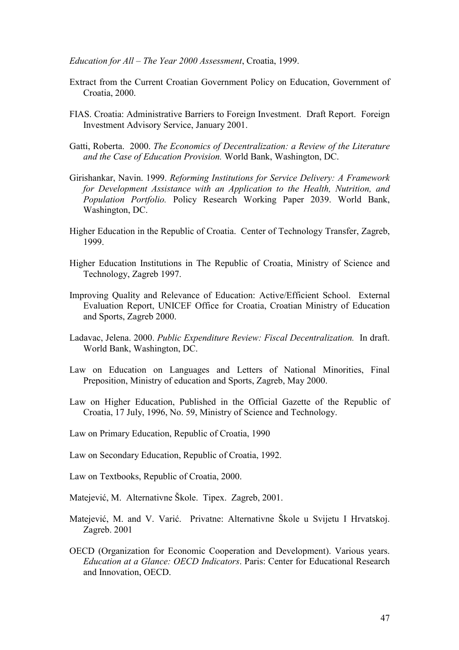*Education for All – The Year 2000 Assessment*, Croatia, 1999.

- Extract from the Current Croatian Government Policy on Education, Government of Croatia, 2000.
- FIAS. Croatia: Administrative Barriers to Foreign Investment. Draft Report. Foreign Investment Advisory Service, January 2001.
- Gatti, Roberta. 2000. *The Economics of Decentralization: a Review of the Literature and the Case of Education Provision.* World Bank, Washington, DC.
- Girishankar, Navin. 1999. *Reforming Institutions for Service Delivery: A Framework for Development Assistance with an Application to the Health, Nutrition, and Population Portfolio.* Policy Research Working Paper 2039. World Bank, Washington, DC.
- Higher Education in the Republic of Croatia. Center of Technology Transfer, Zagreb, 1999.
- Higher Education Institutions in The Republic of Croatia, Ministry of Science and Technology, Zagreb 1997.
- Improving Quality and Relevance of Education: Active/Efficient School. External Evaluation Report, UNICEF Office for Croatia, Croatian Ministry of Education and Sports, Zagreb 2000.
- Ladavac, Jelena. 2000. *Public Expenditure Review: Fiscal Decentralization.* In draft. World Bank, Washington, DC.
- Law on Education on Languages and Letters of National Minorities, Final Preposition, Ministry of education and Sports, Zagreb, May 2000.
- Law on Higher Education, Published in the Official Gazette of the Republic of Croatia, 17 July, 1996, No. 59, Ministry of Science and Technology.
- Law on Primary Education, Republic of Croatia, 1990
- Law on Secondary Education, Republic of Croatia, 1992.
- Law on Textbooks, Republic of Croatia, 2000.
- Matejević, M. Alternativne äkole. Tipex. Zagreb, 2001.
- Matejević, M. and V. Varić. Privatne: Alternativne äkole u Svijetu I Hrvatskoj. Zagreb. 2001
- OECD (Organization for Economic Cooperation and Development). Various years. *Education at a Glance: OECD Indicators*. Paris: Center for Educational Research and Innovation, OECD.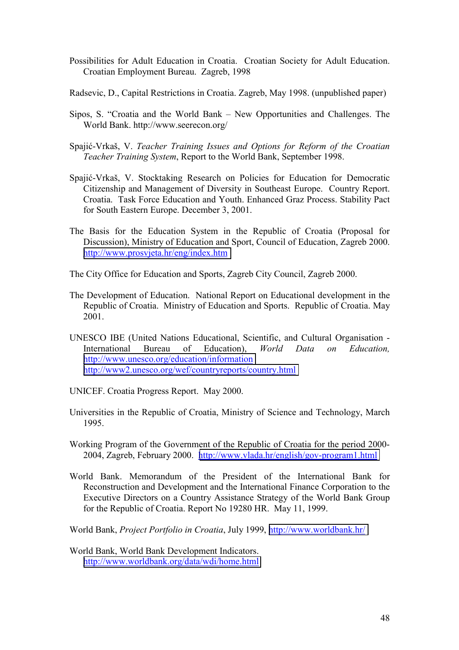- Possibilities for Adult Education in Croatia. Croatian Society for Adult Education. Croatian Employment Bureau. Zagreb, 1998
- Radsevic, D., Capital Restrictions in Croatia. Zagreb, May 1998. (unpublished paper)
- Sipos, S. "Croatia and the World Bank New Opportunities and Challenges. The World Bank. http://www.seerecon.org/
- Spajić-Vrkaö, V. *Teacher Training Issues and Options for Reform of the Croatian Teacher Training System*, Report to the World Bank, September 1998.
- Spajić-Vrkaö, V. Stocktaking Research on Policies for Education for Democratic Citizenship and Management of Diversity in Southeast Europe. Country Report. Croatia. Task Force Education and Youth. Enhanced Graz Process. Stability Pact for South Eastern Europe. December 3, 2001.
- The Basis for the Education System in the Republic of Croatia (Proposal for Discussion), Ministry of Education and Sport, Council of Education, Zagreb 2000. <http://www.prosvjeta.hr/eng/index.htm>
- The City Office for Education and Sports, Zagreb City Council, Zagreb 2000.
- The Development of Education. National Report on Educational development in the Republic of Croatia. Ministry of Education and Sports. Republic of Croatia. May 2001.
- UNESCO IBE (United Nations Educational, Scientific, and Cultural Organisation International Bureau of Education), *World Data on Education,* [http://www.unesco.org/education/information](#page-5-0) [http://www2.unesco.org/wef/countryreports/country.html](#page-5-0)
- UNICEF. Croatia Progress Report. May 2000.
- Universities in the Republic of Croatia, Ministry of Science and Technology, March 1995.
- Working Program of the Government of the Republic of Croatia for the period 2000- 2004, Zagreb, February 2000. [http://www.vlada.hr/english/gov-program1.html](#page-5-0)
- World Bank. Memorandum of the President of the International Bank for Reconstruction and Development and the International Finance Corporation to the Executive Directors on a Country Assistance Strategy of the World Bank Group for the Republic of Croatia. Report No 19280 HR. May 11, 1999.

World Bank, *Project Portfolio in Croatia*, July 1999, [http://www.worldbank.hr/](#page-5-0)

World Bank, World Bank Development Indicators. [http://www.worldbank.org/data/wdi/home.html](#page-5-0)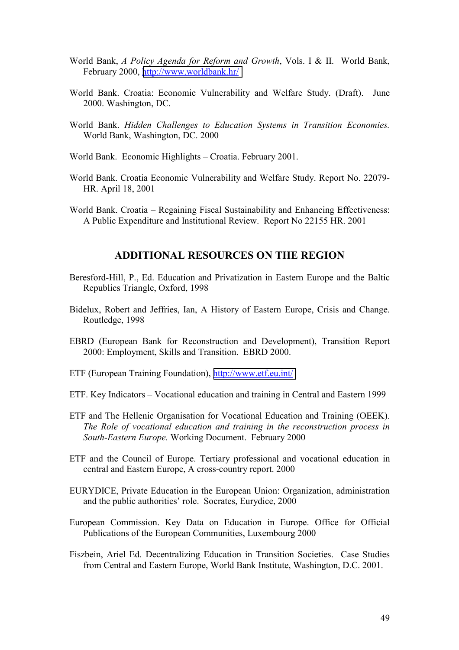- World Bank, *A Policy Agenda for Reform and Growth*, Vols. I & II. World Bank, February 2000, [http://www.worldbank.hr/](#page-5-0)
- World Bank. Croatia: Economic Vulnerability and Welfare Study. (Draft). June 2000. Washington, DC.
- World Bank. *Hidden Challenges to Education Systems in Transition Economies.* World Bank, Washington, DC. 2000
- World Bank. Economic Highlights Croatia. February 2001.
- World Bank. Croatia Economic Vulnerability and Welfare Study. Report No. 22079- HR. April 18, 2001
- World Bank. Croatia Regaining Fiscal Sustainability and Enhancing Effectiveness: A Public Expenditure and Institutional Review. Report No 22155 HR. 2001

## **ADDITIONAL RESOURCES ON THE REGION**

- Beresford-Hill, P., Ed. Education and Privatization in Eastern Europe and the Baltic Republics Triangle, Oxford, 1998
- Bidelux, Robert and Jeffries, Ian, A History of Eastern Europe, Crisis and Change. Routledge, 1998
- EBRD (European Bank for Reconstruction and Development), Transition Report 2000: Employment, Skills and Transition. EBRD 2000.
- ETF (European Training Foundation), [http://www.etf.eu.int/](#page-5-0)
- ETF. Key Indicators Vocational education and training in Central and Eastern 1999
- ETF and The Hellenic Organisation for Vocational Education and Training (OEEK). *The Role of vocational education and training in the reconstruction process in South-Eastern Europe.* Working Document. February 2000
- ETF and the Council of Europe. Tertiary professional and vocational education in central and Eastern Europe, A cross-country report. 2000
- EURYDICE, Private Education in the European Union: Organization, administration and the public authorities' role. Socrates, Eurydice, 2000
- European Commission. Key Data on Education in Europe. Office for Official Publications of the European Communities, Luxembourg 2000
- Fiszbein, Ariel Ed. Decentralizing Education in Transition Societies. Case Studies from Central and Eastern Europe, World Bank Institute, Washington, D.C. 2001.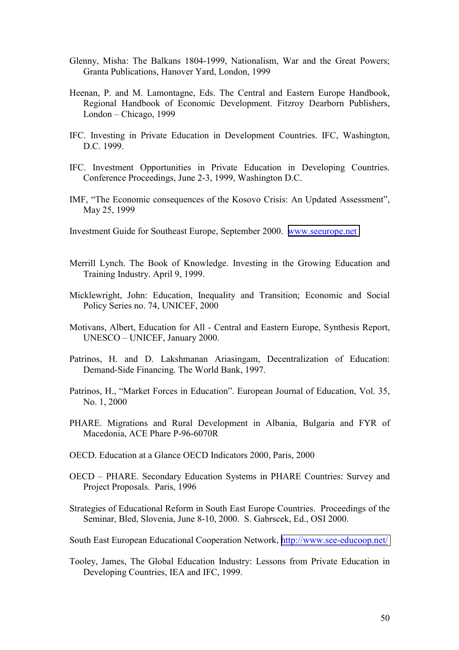- Glenny, Misha: The Balkans 1804-1999, Nationalism, War and the Great Powers; Granta Publications, Hanover Yard, London, 1999
- Heenan, P. and M. Lamontagne, Eds. The Central and Eastern Europe Handbook, Regional Handbook of Economic Development. Fitzroy Dearborn Publishers,  $London - Chicago, 1999$
- IFC. Investing in Private Education in Development Countries. IFC, Washington, D.C. 1999.
- IFC. Investment Opportunities in Private Education in Developing Countries. Conference Proceedings, June 2-3, 1999, Washington D.C.
- IMF, "The Economic consequences of the Kosovo Crisis: An Updated Assessment", May 25, 1999
- Investment Guide for Southeast Europe, September 2000. [www.seeurope.net](http://www.seeurope.net/)
- Merrill Lynch. The Book of Knowledge. Investing in the Growing Education and Training Industry. April 9, 1999.
- Micklewright, John: Education, Inequality and Transition; Economic and Social Policy Series no. 74, UNICEF, 2000
- Motivans, Albert, Education for All Central and Eastern Europe, Synthesis Report, UNESCO - UNICEF, January 2000.
- Patrinos, H. and D. Lakshmanan Ariasingam, Decentralization of Education: Demand-Side Financing. The World Bank, 1997.
- Patrinos, H., "Market Forces in Education". European Journal of Education, Vol. 35, No. 1, 2000
- PHARE. Migrations and Rural Development in Albania, Bulgaria and FYR of Macedonia, ACE Phare P-96-6070R
- OECD. Education at a Glance OECD Indicators 2000, Paris, 2000
- OECD PHARE. Secondary Education Systems in PHARE Countries: Survey and Project Proposals. Paris, 1996
- Strategies of Educational Reform in South East Europe Countries. Proceedings of the Seminar, Bled, Slovenia, June 8-10, 2000. S. Gabrscek, Ed., OSI 2000.
- South East European Educational Cooperation Network, [http://www.see-educoop.net/](#page-5-0)
- Tooley, James, The Global Education Industry: Lessons from Private Education in Developing Countries, IEA and IFC, 1999.